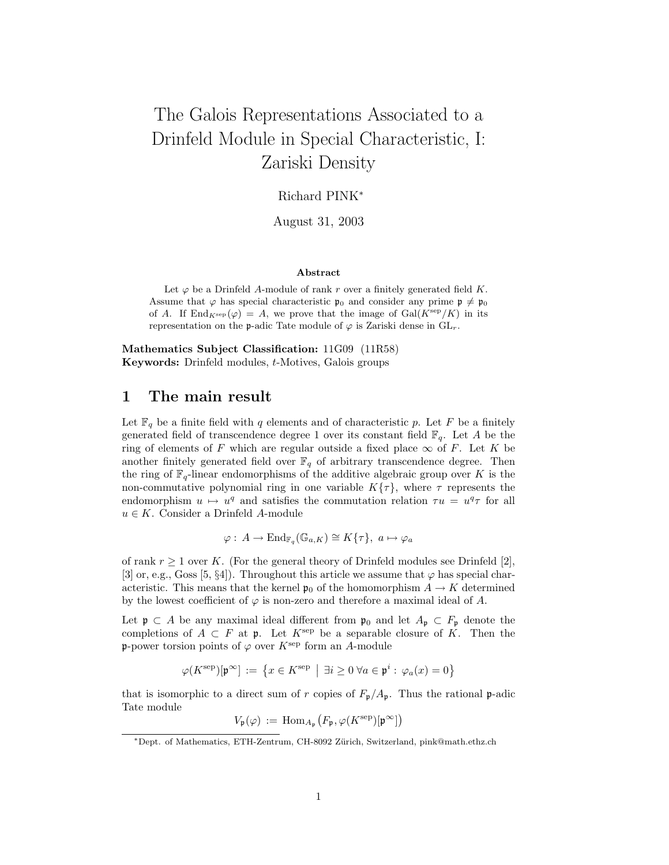# The Galois Representations Associated to a Drinfeld Module in Special Characteristic, I: Zariski Density

Richard PINK<sup>∗</sup>

August 31, 2003

#### Abstract

Let  $\varphi$  be a Drinfeld A-module of rank r over a finitely generated field K. Assume that  $\varphi$  has special characteristic  $\mathfrak{p}_0$  and consider any prime  $\mathfrak{p} \neq \mathfrak{p}_0$ of A. If End<sub>Ksep</sub> ( $\varphi$ ) = A, we prove that the image of Gal(K<sup>sep</sup>/K) in its representation on the p-adic Tate module of  $\varphi$  is Zariski dense in  $GL_r$ .

Mathematics Subject Classification: 11G09 (11R58) Keywords: Drinfeld modules, t-Motives, Galois groups

# 1 The main result

Let  $\mathbb{F}_q$  be a finite field with q elements and of characteristic p. Let F be a finitely generated field of transcendence degree 1 over its constant field  $\mathbb{F}_q$ . Let A be the ring of elements of F which are regular outside a fixed place  $\infty$  of F. Let K be another finitely generated field over  $\mathbb{F}_q$  of arbitrary transcendence degree. Then the ring of  $\mathbb{F}_q$ -linear endomorphisms of the additive algebraic group over K is the non-commutative polynomial ring in one variable  $K\{\tau\}$ , where  $\tau$  represents the endomorphism  $u \mapsto u^q$  and satisfies the commutation relation  $\tau u = u^q \tau$  for all  $u \in K$ . Consider a Drinfeld A-module

$$
\varphi: A \to \mathrm{End}_{\mathbb{F}_q}(\mathbb{G}_{a,K}) \cong K\{\tau\}, \ a \mapsto \varphi_a
$$

of rank  $r > 1$  over K. (For the general theory of Drinfeld modules see Drinfeld [2], [3] or, e.g., Goss [5,  $\S4$ ]). Throughout this article we assume that  $\varphi$  has special characteristic. This means that the kernel  $\mathfrak{p}_0$  of the homomorphism  $A \to K$  determined by the lowest coefficient of  $\varphi$  is non-zero and therefore a maximal ideal of A.

Let  $\mathfrak{p} \subset A$  be any maximal ideal different from  $\mathfrak{p}_0$  and let  $A_{\mathfrak{p}} \subset F_{\mathfrak{p}}$  denote the completions of  $A \subset F$  at p. Let  $K^{\text{sep}}$  be a separable closure of K. Then the **p**-power torsion points of  $\varphi$  over  $K^{\text{sep}}$  form an A-module

$$
\varphi(K^{\text{sep}})[\mathfrak{p}^{\infty}] := \left\{ x \in K^{\text{sep}} \mid \exists i \ge 0 \; \forall a \in \mathfrak{p}^i : \varphi_a(x) = 0 \right\}
$$

that is isomorphic to a direct sum of r copies of  $F_p/A_p$ . Thus the rational p-adic Tate module

$$
V_{\mathfrak{p}}(\varphi) := \operatorname{Hom}_{A_{\mathfrak{p}}}\left(F_{\mathfrak{p}}, \varphi(K^{\operatorname{sep}})[\mathfrak{p}^{\infty}]\right)
$$

<sup>∗</sup>Dept. of Mathematics, ETH-Zentrum, CH-8092 Z¨urich, Switzerland, pink@math.ethz.ch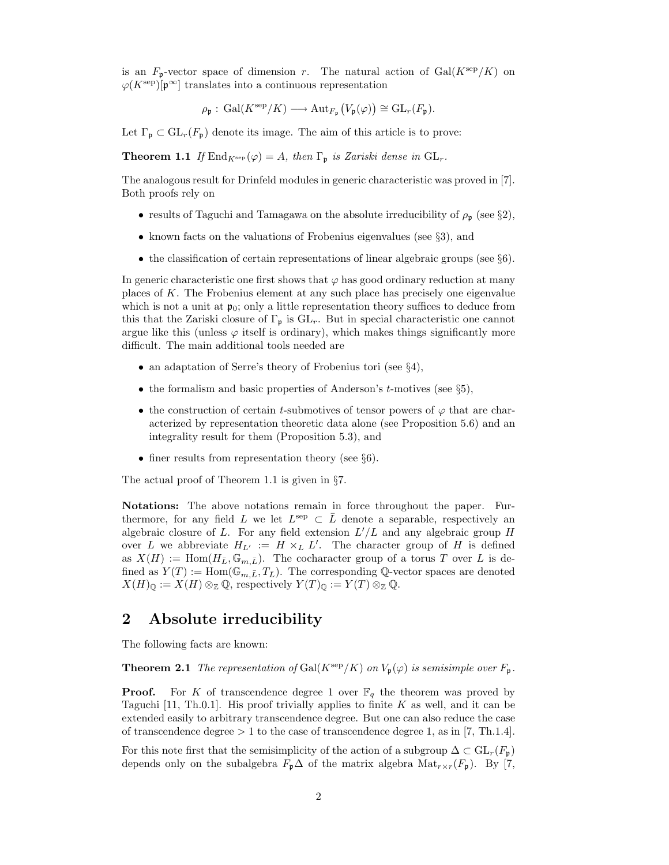is an  $F_p$ -vector space of dimension r. The natural action of  $Gal(K^{\text{sep}}/K)$  on  $\varphi(K^{\text{sep}})[\mathfrak{p}^{\infty}]$  translates into a continuous representation

$$
\rho_{\mathfrak{p}}: \mathrm{Gal}(K^{\mathrm{sep}}/K) \longrightarrow \mathrm{Aut}_{F_{\mathfrak{p}}}\big(V_{\mathfrak{p}}(\varphi)\big) \cong \mathrm{GL}_r(F_{\mathfrak{p}}).
$$

Let  $\Gamma_{\mathfrak{p}} \subset GL_r(F_{\mathfrak{p}})$  denote its image. The aim of this article is to prove:

**Theorem 1.1** If  $\text{End}_{K^{\text{sep}}}(\varphi) = A$ , then  $\Gamma_{\mathfrak{p}}$  is Zariski dense in  $GL_r$ .

The analogous result for Drinfeld modules in generic characteristic was proved in [7]. Both proofs rely on

- results of Taguchi and Tamagawa on the absolute irreducibility of  $\rho_{\rm p}$  (see §2),
- known facts on the valuations of Frobenius eigenvalues (see  $\S 3$ ), and
- the classification of certain representations of linear algebraic groups (see §6).

In generic characteristic one first shows that  $\varphi$  has good ordinary reduction at many places of K. The Frobenius element at any such place has precisely one eigenvalue which is not a unit at  $\mathfrak{p}_0$ ; only a little representation theory suffices to deduce from this that the Zariski closure of  $\Gamma_p$  is  $GL_r$ . But in special characteristic one cannot argue like this (unless  $\varphi$  itself is ordinary), which makes things significantly more difficult. The main additional tools needed are

- an adaptation of Serre's theory of Frobenius tori (see §4),
- the formalism and basic properties of Anderson's  $t$ -motives (see §5),
- the construction of certain t-submotives of tensor powers of  $\varphi$  that are characterized by representation theoretic data alone (see Proposition 5.6) and an integrality result for them (Proposition 5.3), and
- finer results from representation theory (see  $\S6$ ).

The actual proof of Theorem 1.1 is given in §7.

Notations: The above notations remain in force throughout the paper. Furthermore, for any field L we let  $L^{\text{sep}} \subset \overline{L}$  denote a separable, respectively an algebraic closure of L. For any field extension  $L'/L$  and any algebraic group H over L we abbreviate  $H_{L'} := H \times_L L'$ . The character group of H is defined as  $X(H) := \text{Hom}(H_{\bar{L}}, \mathbb{G}_{m,\bar{L}})$ . The cocharacter group of a torus T over L is defined as  $Y(T) := \text{Hom}(\mathbb{G}_{m,\bar{L}}, T_{\bar{L}})$ . The corresponding Q-vector spaces are denoted  $X(H)_{\mathbb{Q}} := X(H) \otimes_{\mathbb{Z}} \mathbb{Q}$ , respectively  $Y(T)_{\mathbb{Q}} := Y(T) \otimes_{\mathbb{Z}} \mathbb{Q}$ .

# 2 Absolute irreducibility

The following facts are known:

**Theorem 2.1** The representation of Gal( $K^{\text{sep}}/K$ ) on  $V_{\mathfrak{p}}(\varphi)$  is semisimple over  $F_{\mathfrak{p}}$ .

**Proof.** For K of transcendence degree 1 over  $\mathbb{F}_q$  the theorem was proved by Taguchi [11, Th.0.1]. His proof trivially applies to finite K as well, and it can be extended easily to arbitrary transcendence degree. But one can also reduce the case of transcendence degree  $> 1$  to the case of transcendence degree 1, as in [7, Th.1.4].

For this note first that the semisimplicity of the action of a subgroup  $\Delta \subset GL_r(F_p)$ depends only on the subalgebra  $F_{\mathfrak{p}}\Delta$  of the matrix algebra  $\text{Mat}_{r\times r}(F_{\mathfrak{p}})$ . By [7,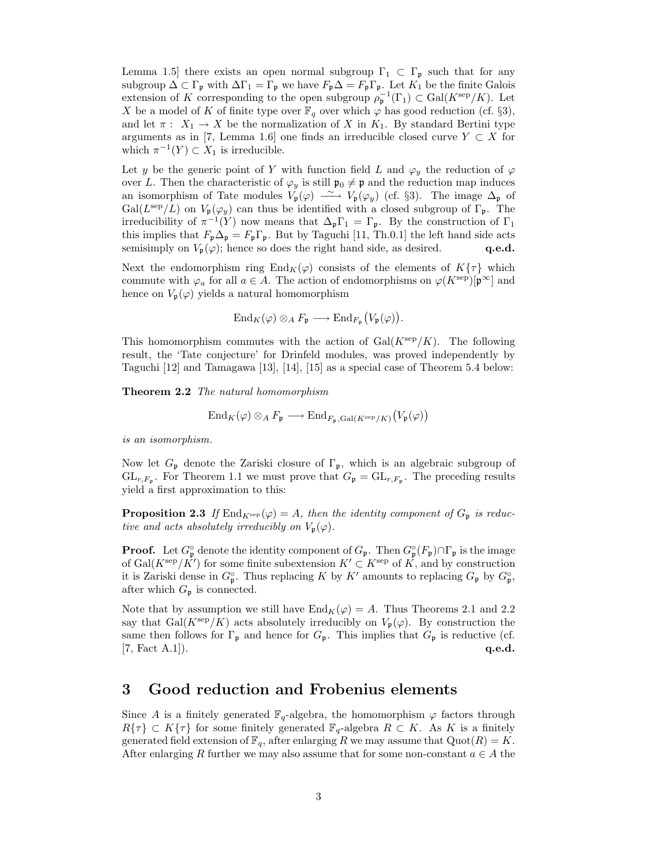Lemma 1.5] there exists an open normal subgroup  $\Gamma_1 \subset \Gamma_{\mathfrak{p}}$  such that for any subgroup  $\Delta \subset \Gamma_{\mathfrak{p}}$  with  $\Delta \Gamma_1 = \Gamma_{\mathfrak{p}}$  we have  $F_{\mathfrak{p}}\Delta = F_{\mathfrak{p}}\Gamma_{\mathfrak{p}}$ . Let  $K_1$  be the finite Galois extension of K corresponding to the open subgroup  $\rho_{\mathfrak{p}}^{-1}(\Gamma_1) \subset \text{Gal}(K^{\text{sep}}/K)$ . Let X be a model of K of finite type over  $\mathbb{F}_q$  over which  $\varphi$  has good reduction (cf. §3), and let  $\pi$ :  $X_1 \to X$  be the normalization of X in  $K_1$ . By standard Bertini type arguments as in [7, Lemma 1.6] one finds an irreducible closed curve  $Y \subset X$  for which  $\pi^{-1}(Y) \subset X_1$  is irreducible.

Let y be the generic point of Y with function field L and  $\varphi_y$  the reduction of  $\varphi$ over L. Then the characteristic of  $\varphi_y$  is still  $\mathfrak{p}_0 \neq \mathfrak{p}$  and the reduction map induces an isomorphism of Tate modules  $V_{\mathfrak{p}}(\varphi) \longrightarrow V_{\mathfrak{p}}(\varphi_y)$  (cf. §3). The image  $\Delta_{\mathfrak{p}}$  of  $Gal(L^{\text{sep}}/L)$  on  $V_{\mathfrak{p}}(\varphi_y)$  can thus be identified with a closed subgroup of  $\Gamma_{\mathfrak{p}}$ . The irreducibility of  $\pi^{-1}(Y)$  now means that  $\Delta_{\mathfrak{p}}\Gamma_1 = \Gamma_{\mathfrak{p}}$ . By the construction of  $\Gamma_1$ this implies that  $F_p \Delta_p = F_p \Gamma_p$ . But by Taguchi [11, Th.0.1] the left hand side acts semisimply on  $V_p(\varphi)$ ; hence so does the right hand side, as desired. q.e.d.

Next the endomorphism ring  $\text{End}_K(\varphi)$  consists of the elements of  $K\{\tau\}$  which commute with  $\varphi_a$  for all  $a \in A$ . The action of endomorphisms on  $\varphi(K^{\text{sep}})[p^{\infty}]$  and hence on  $V_{\mathfrak{p}}(\varphi)$  yields a natural homomorphism

$$
\operatorname{End}_K(\varphi) \otimes_A F_{\mathfrak{p}} \longrightarrow \operatorname{End}_{F_{\mathfrak{p}}}(V_{\mathfrak{p}}(\varphi)).
$$

This homomorphism commutes with the action of  $Gal(K^{\text{sep}}/K)$ . The following result, the 'Tate conjecture' for Drinfeld modules, was proved independently by Taguchi [12] and Tamagawa [13], [14], [15] as a special case of Theorem 5.4 below:

Theorem 2.2 The natural homomorphism

$$
\operatorname{End}_K(\varphi) \otimes_A F_{\mathfrak{p}} \longrightarrow \operatorname{End}_{F_{\mathfrak{p}}, \operatorname{Gal}(K^{\operatorname{sep}}/K)}(V_{\mathfrak{p}}(\varphi))
$$

is an isomorphism.

Now let  $G_{\mathfrak{p}}$  denote the Zariski closure of  $\Gamma_{\mathfrak{p}}$ , which is an algebraic subgroup of  $\operatorname{GL}_{r,F_{\mathfrak{p}}}$ . For Theorem 1.1 we must prove that  $G_{\mathfrak{p}} = \operatorname{GL}_{r,F_{\mathfrak{p}}}$ . The preceding results yield a first approximation to this:

**Proposition 2.3** If  $\text{End}_{K^{\text{sep}}}(\varphi) = A$ , then the identity component of  $G_p$  is reductive and acts absolutely irreducibly on  $V_{\mathfrak{p}}(\varphi)$ .

**Proof.** Let  $G_{\mathfrak{p}}^{\circ}$  denote the identity component of  $G_{\mathfrak{p}}$ . Then  $G_{\mathfrak{p}}^{\circ}(F_{\mathfrak{p}})\cap \Gamma_{\mathfrak{p}}$  is the image of Gal $(K^{\text{sep}}/K')$  for some finite subextension  $K' \subset K^{\text{sep}}$  of K, and by construction it is Zariski dense in  $G_{\mathfrak{p}}^{\circ}$ . Thus replacing K by K' amounts to replacing  $G_{\mathfrak{p}}$  by  $G_{\mathfrak{p}}^{\circ}$ , after which  $G_p$  is connected.

Note that by assumption we still have  $\text{End}_K(\varphi) = A$ . Thus Theorems 2.1 and 2.2 say that Gal( $K^{\text{sep}}/K$ ) acts absolutely irreducibly on  $V_{\mathfrak{p}}(\varphi)$ . By construction the same then follows for  $\Gamma_{\mathfrak{p}}$  and hence for  $G_{\mathfrak{p}}$ . This implies that  $G_{\mathfrak{p}}$  is reductive (cf.  $[7, \text{Fact A.1}].$  q.e.d.

# 3 Good reduction and Frobenius elements

Since A is a finitely generated  $\mathbb{F}_q$ -algebra, the homomorphism  $\varphi$  factors through  $R\{\tau\} \subset K\{\tau\}$  for some finitely generated  $\mathbb{F}_{q}$ -algebra  $R \subset K$ . As K is a finitely generated field extension of  $\mathbb{F}_q$ , after enlarging R we may assume that  $\mathrm{Quot}(R) = K$ . After enlarging R further we may also assume that for some non-constant  $a \in A$  the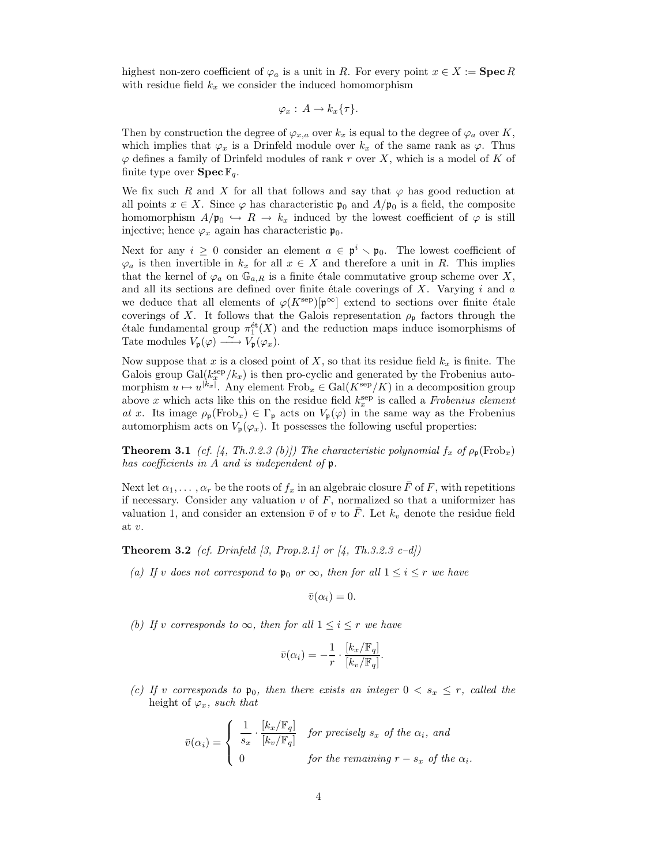highest non-zero coefficient of  $\varphi_a$  is a unit in R. For every point  $x \in X := \textbf{Spec } R$ with residue field  $k_x$  we consider the induced homomorphism

$$
\varphi_x: A \to k_x\{\tau\}.
$$

Then by construction the degree of  $\varphi_{x,a}$  over  $k_x$  is equal to the degree of  $\varphi_a$  over K, which implies that  $\varphi_x$  is a Drinfeld module over  $k_x$  of the same rank as  $\varphi$ . Thus  $\varphi$  defines a family of Drinfeld modules of rank r over X, which is a model of K of finite type over  $\text{Spec } \mathbb{F}_q$ .

We fix such R and X for all that follows and say that  $\varphi$  has good reduction at all points  $x \in X$ . Since  $\varphi$  has characteristic  $\mathfrak{p}_0$  and  $A/\mathfrak{p}_0$  is a field, the composite homomorphism  $A/\mathfrak{p}_0 \hookrightarrow R \to k_x$  induced by the lowest coefficient of  $\varphi$  is still injective; hence  $\varphi_x$  again has characteristic  $\mathfrak{p}_0$ .

Next for any  $i \geq 0$  consider an element  $a \in \mathfrak{p}^i \setminus \mathfrak{p}_0$ . The lowest coefficient of  $\varphi_a$  is then invertible in  $k_x$  for all  $x \in X$  and therefore a unit in R. This implies that the kernel of  $\varphi_a$  on  $\mathbb{G}_{a,R}$  is a finite étale commutative group scheme over X, and all its sections are defined over finite étale coverings of  $X$ . Varying  $i$  and  $a$ we deduce that all elements of  $\varphi(K^{\text{sep}})[p^{\infty}]$  extend to sections over finite étale coverings of X. It follows that the Galois representation  $\rho_{p}$  factors through the  $\acute{e}$ tale fundamental group  $\pi_1^{\acute{e}t}(X)$  and the reduction maps induce isomorphisms of Tate modules  $V_{\mathfrak{p}}(\varphi) \longrightarrow V_{\mathfrak{p}}(\varphi_x)$ .

Now suppose that x is a closed point of X, so that its residue field  $k_x$  is finite. The Galois group  $Gal(k_x^{\text{sep}}/k_x)$  is then pro-cyclic and generated by the Frobenius automorphism  $u \mapsto u^{|k_x|}$ . Any element  $Frob_x \in Gal(K^{\text{sep}}/K)$  in a decomposition group above x which acts like this on the residue field  $k_x^{\text{sep}}$  is called a *Frobenius element* at x. Its image  $\rho_{\mathfrak{p}}(\text{Frob}_x) \in \Gamma_{\mathfrak{p}}$  acts on  $V_{\mathfrak{p}}(\varphi)$  in the same way as the Frobenius automorphism acts on  $V_{\mathfrak{p}}(\varphi_x)$ . It possesses the following useful properties:

**Theorem 3.1** (cf. [4, Th.3.2.3 (b)]) The characteristic polynomial  $f_x$  of  $\rho_p(\text{Frob}_x)$ has coefficients in A and is independent of p.

Next let  $\alpha_1, \ldots, \alpha_r$  be the roots of  $f_x$  in an algebraic closure  $\bar{F}$  of F, with repetitions if necessary. Consider any valuation  $v$  of  $F$ , normalized so that a uniformizer has valuation 1, and consider an extension  $\bar{v}$  of v to  $\bar{F}$ . Let  $k_v$  denote the residue field at v.

**Theorem 3.2** (cf. Drinfeld [3, Prop.2.1] or  $[4, Th.3.2.3 c-d]$ )

(a) If v does not correspond to  $\mathfrak{p}_0$  or  $\infty$ , then for all  $1 \leq i \leq r$  we have

$$
\bar{v}(\alpha_i)=0.
$$

(b) If v corresponds to  $\infty$ , then for all  $1 \leq i \leq r$  we have

$$
\bar{v}(\alpha_i) = -\frac{1}{r} \cdot \frac{[k_x/\mathbb{F}_q]}{[k_v/\mathbb{F}_q]}.
$$

(c) If v corresponds to  $\mathfrak{p}_0$ , then there exists an integer  $0 < s_x \leq r$ , called the height of  $\varphi_x$ , such that

$$
\bar{v}(\alpha_i) = \begin{cases}\n\frac{1}{s_x} \cdot \frac{[k_x/\mathbb{F}_q]}{[k_v/\mathbb{F}_q]} & \text{for precisely } s_x \text{ of the } \alpha_i, \text{ and} \\
0 & \text{for the remaining } r - s_x \text{ of the } \alpha_i.\n\end{cases}
$$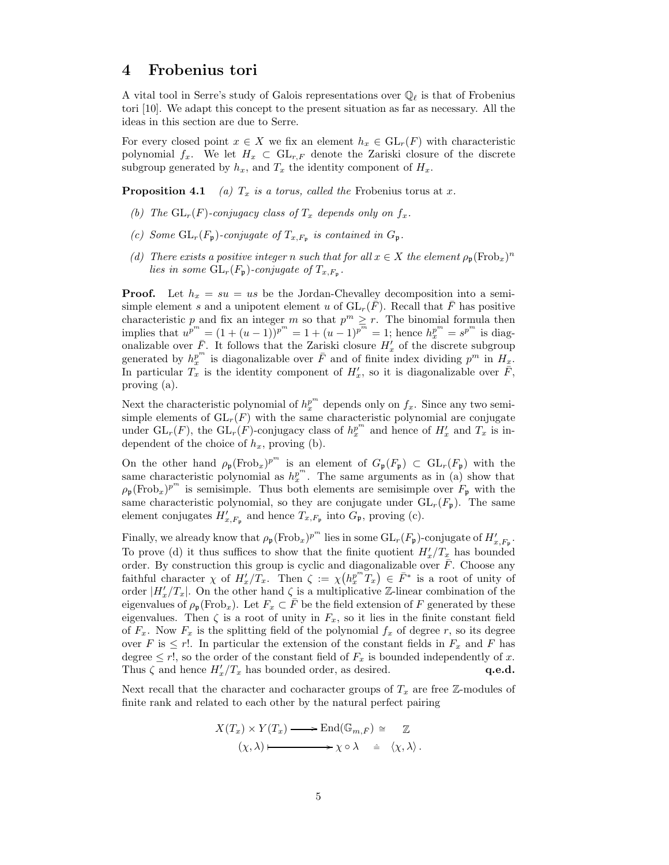# 4 Frobenius tori

A vital tool in Serre's study of Galois representations over  $\mathbb{Q}_\ell$  is that of Frobenius tori [10]. We adapt this concept to the present situation as far as necessary. All the ideas in this section are due to Serre.

For every closed point  $x \in X$  we fix an element  $h_x \in GL_r(F)$  with characteristic polynomial  $f_x$ . We let  $H_x \subset GL_{r,F}$  denote the Zariski closure of the discrete subgroup generated by  $h_x$ , and  $T_x$  the identity component of  $H_x$ .

**Proposition 4.1** (a)  $T_x$  is a torus, called the Frobenius torus at x.

- (b) The  $GL_r(F)$ -conjugacy class of  $T_x$  depends only on  $f_x$ .
- (c) Some  $GL_r(F_{\mathfrak{p}})$ -conjugate of  $T_{x,F_{\mathfrak{p}}}$  is contained in  $G_{\mathfrak{p}}$ .
- (d) There exists a positive integer n such that for all  $x \in X$  the element  $\rho_{\mathfrak{p}}(\text{Frob}_x)^n$ lies in some  $\operatorname{GL}_r(F_{\mathfrak{p}})$ -conjugate of  $T_{x,F_{\mathfrak{p}}}.$

**Proof.** Let  $h_x = su = us$  be the Jordan-Chevalley decomposition into a semisimple element s and a unipotent element u of  $GL_r(F)$ . Recall that F has positive characteristic p and fix an integer m so that  $p^m \geq r$ . The binomial formula then implies that  $u^{p^m} = (1 + (u - 1))^{p^m} = 1 + (u - 1)^{p^m} = 1$ ; hence  $h_x^{p^m} = s^{p^m}$  is diagonalizable over  $\bar{F}$ . It follows that the Zariski closure  $H'_x$  of the discrete subgroup generated by  $h_x^{p^m}$  is diagonalizable over  $\overline{F}$  and of finite index dividing  $p^m$  in  $H_x$ . In particular  $\overline{T_x}$  is the identity component of  $H'_x$ , so it is diagonalizable over  $\overline{F}$ , proving (a).

Next the characteristic polynomial of  $h_x^{p^m}$  depends only on  $f_x$ . Since any two semisimple elements of  $GL_r(F)$  with the same characteristic polynomial are conjugate under  $\mathrm{GL}_r(F)$ , the  $\mathrm{GL}_r(F)$ -conjugacy class of  $h_x^{p^m}$  and hence of  $H'_x$  and  $T_x$  is independent of the choice of  $h_x$ , proving (b).

On the other hand  $\rho_{\mathfrak{p}}(\text{Frob}_x)^{p^m}$  is an element of  $G_{\mathfrak{p}}(F_{\mathfrak{p}}) \subset \text{GL}_r(F_{\mathfrak{p}})$  with the same characteristic polynomial as  $h_x^{p^m}$ . The same arguments as in (a) show that  $\rho_{\mathfrak{p}}(\text{Frob}_x)^{p^m}$  is semisimple. Thus both elements are semisimple over  $F_{\mathfrak{p}}$  with the same characteristic polynomial, so they are conjugate under  $GL_r(F_p)$ . The same element conjugates  $H'_{x,F_{\mathfrak{p}}}$  and hence  $T_{x,F_{\mathfrak{p}}}$  into  $G_{\mathfrak{p}}$ , proving (c).

Finally, we already know that  $\rho_{\mathfrak{p}}(\text{Frob}_x)^{p^m}$  lies in some  $\text{GL}_r(F_{\mathfrak{p}})$ -conjugate of  $H'_{x,F_{\mathfrak{p}}}$ . To prove (d) it thus suffices to show that the finite quotient  $H'_x/T_x$  has bounded order. By construction this group is cyclic and diagonalizable over  $\overline{F}$ . Choose any faithful character  $\chi$  of  $H'_x/T_x$ . Then  $\zeta := \chi(h_x^{p^m}T_x) \in \overline{F}^*$  is a root of unity of order  $|H'_x/T_x|$ . On the other hand  $\zeta$  is a multiplicative Z-linear combination of the eigenvalues of  $\rho_{\mathfrak{p}}(\text{Frob}_x)$ . Let  $F_x \subset \overline{F}$  be the field extension of F generated by these eigenvalues. Then  $\zeta$  is a root of unity in  $F_x$ , so it lies in the finite constant field of  $F_x$ . Now  $F_x$  is the splitting field of the polynomial  $f_x$  of degree r, so its degree over F is  $\leq r!$ . In particular the extension of the constant fields in  $F_x$  and F has degree  $\leq r!$ , so the order of the constant field of  $F_x$  is bounded independently of x. Thus  $\zeta$  and hence  $H'_x/T_x$  has bounded order, as desired. **q.e.d. q.e.d.** 

Next recall that the character and cocharacter groups of  $T_x$  are free  $\mathbb{Z}$ -modules of finite rank and related to each other by the natural perfect pairing

$$
X(T_x) \times Y(T_x) \longrightarrow \text{End}(\mathbb{G}_{m,\bar{F}}) \cong \mathbb{Z}
$$
  

$$
(\chi, \lambda) \longmapsto \chi \circ \lambda \cong \langle \chi, \lambda \rangle.
$$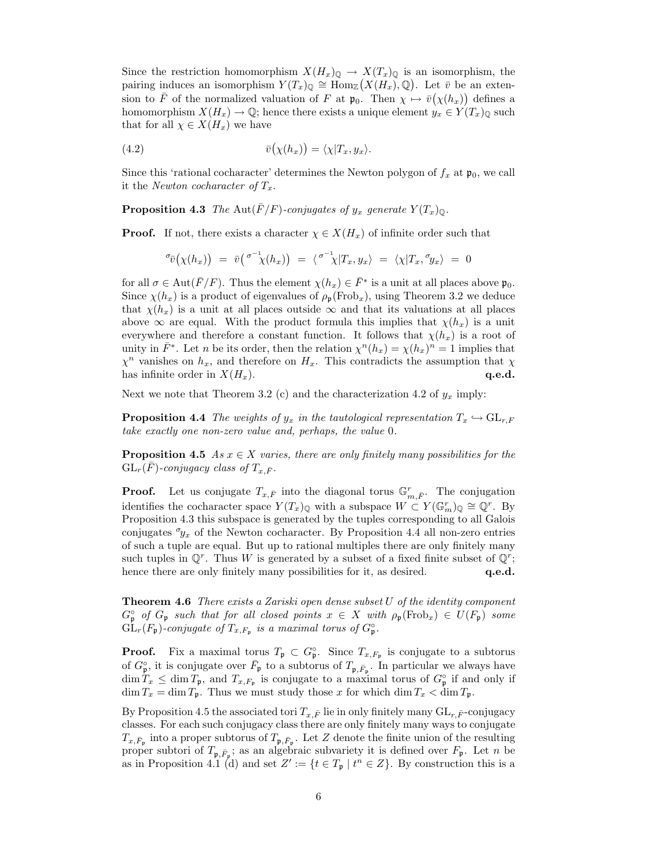Since the restriction homomorphism  $X(H_x)_{\mathbb{Q}} \to X(T_x)_{\mathbb{Q}}$  is an isomorphism, the pairing induces an isomorphism  $Y(T_x)_{\mathbb{Q}} \cong \text{Hom}_{\mathbb{Z}}(X(H_x), \mathbb{Q})$ . Let  $\bar{v}$  be an extension to  $\bar{F}$  of the normalized valuation of F at  $\mathfrak{p}_0$ . Then  $\chi \mapsto \bar{v}(\chi(h_x))$  defines a homomorphism  $X(H_x) \to \mathbb{Q}$ ; hence there exists a unique element  $y_x \in Y(T_x)_{\mathbb{Q}}$  such that for all  $\chi \in X(H_x)$  we have

(4.2) 
$$
\bar{v}(\chi(h_x)) = \langle \chi | T_x, y_x \rangle.
$$

Since this 'rational cocharacter' determines the Newton polygon of  $f_x$  at  $\mathfrak{p}_0$ , we call it the Newton cocharacter of  $T_x$ .

**Proposition 4.3** The Aut $(\bar{F}/F)$ -conjugates of  $y_x$  generate  $Y(T_x)_{\mathbb{Q}}$ .

**Proof.** If not, there exists a character  $\chi \in X(H_x)$  of infinite order such that

$$
\sigma_{\bar{v}}(\chi(h_x)) = \bar{v}(\sigma^{-1}\chi(h_x)) = \langle \sigma^{-1}\chi|T_x, y_x \rangle = \langle \chi|T_x, \sigma_{y_x} \rangle = 0
$$

for all  $\sigma \in \text{Aut}(\bar{F}/F)$ . Thus the element  $\chi(h_x) \in \bar{F}^*$  is a unit at all places above  $\mathfrak{p}_0$ . Since  $\chi(h_x)$  is a product of eigenvalues of  $\rho_p(\text{Frob}_x)$ , using Theorem 3.2 we deduce that  $\chi(h_x)$  is a unit at all places outside  $\infty$  and that its valuations at all places above  $\infty$  are equal. With the product formula this implies that  $\chi(h_x)$  is a unit everywhere and therefore a constant function. It follows that  $\chi(h_x)$  is a root of unity in  $\bar{F}^*$ . Let n be its order, then the relation  $\chi^n(h_x) = \chi(h_x)^n = 1$  implies that  $\chi^n$  vanishes on  $h_x$ , and therefore on  $H_x$ . This contradicts the assumption that  $\chi$ has infinite order in  $X(H_x)$ . q.e.d.

Next we note that Theorem 3.2 (c) and the characterization 4.2 of  $y_x$  imply:

**Proposition 4.4** The weights of  $y_x$  in the tautological representation  $T_x \hookrightarrow GL_{r,F}$ take exactly one non-zero value and, perhaps, the value 0.

**Proposition 4.5** As  $x \in X$  varies, there are only finitely many possibilities for the  $GL_r(\bar{F})$ -conjugacy class of  $T_{x,\bar{F}}$ .

**Proof.** Let us conjugate  $T_{x,\bar{F}}$  into the diagonal torus  $\mathbb{G}_{m,\bar{F}}^r$ . The conjugation identifies the cocharacter space  $Y(T_x)_{\mathbb{Q}}$  with a subspace  $W \subset Y(\mathbb{G}_m^r)_{\mathbb{Q}} \cong \mathbb{Q}^r$ . By Proposition 4.3 this subspace is generated by the tuples corresponding to all Galois conjugates  $\sigma_{y_x}$  of the Newton cocharacter. By Proposition 4.4 all non-zero entries of such a tuple are equal. But up to rational multiples there are only finitely many such tuples in  $\mathbb{Q}^r$ . Thus W is generated by a subset of a fixed finite subset of  $\mathbb{Q}^r$ ; hence there are only finitely many possibilities for it, as desired.  $q.e.d.$ 

**Theorem 4.6** There exists a Zariski open dense subset  $U$  of the identity component  $G_{\mathfrak{p}}^{\circ}$  of  $G_{\mathfrak{p}}$  such that for all closed points  $x \in X$  with  $\rho_{\mathfrak{p}}(\text{Frob}_x) \in U(F_{\mathfrak{p}})$  some  $\mathrm{GL}_r(F_{\mathfrak{p}})$ -conjugate of  $T_{x,F_{\mathfrak{p}}}$  is a maximal torus of  $G_{\mathfrak{p}}^{\circ}$ .

**Proof.** Fix a maximal torus  $T_{\mathfrak{p}} \subset G_{\mathfrak{p}}^{\circ}$ . Since  $T_{x,F_{\mathfrak{p}}}$  is conjugate to a subtorus of  $G_{\mathfrak{p}}^{\circ}$ , it is conjugate over  $\bar{F}_{\mathfrak{p}}$  to a subtorus of  $T_{\mathfrak{p}, \bar{F}_{\mathfrak{p}}}$ . In particular we always have  $\dim T_x \leq \dim T_{\mathfrak{p}}$ , and  $T_{x,F_{\mathfrak{p}}}$  is conjugate to a maximal torus of  $G_{\mathfrak{p}}^{\circ}$  if and only if  $\dim T_x = \dim T_{\mathfrak{p}}$ . Thus we must study those x for which  $\dim T_x < \dim T_{\mathfrak{p}}$ .

By Proposition 4.5 the associated tori  $T_{x,\bar{F}}$  lie in only finitely many  $GL_{r,\bar{F}}$ -conjugacy classes. For each such conjugacy class there are only finitely many ways to conjugate  $T_{x,\bar{F}_{\mathfrak{p}}}$  into a proper subtorus of  $T_{\mathfrak{p},\bar{F}_{\mathfrak{p}}}$ . Let Z denote the finite union of the resulting proper subtori of  $T_{\mathfrak{p},\bar{F}_{\mathfrak{p}}};$  as an algebraic subvariety it is defined over  $F_{\mathfrak{p}}$ . Let n be as in Proposition 4.1 (d) and set  $Z' := \{t \in T_{\mathfrak{p}} \mid t^n \in Z\}$ . By construction this is a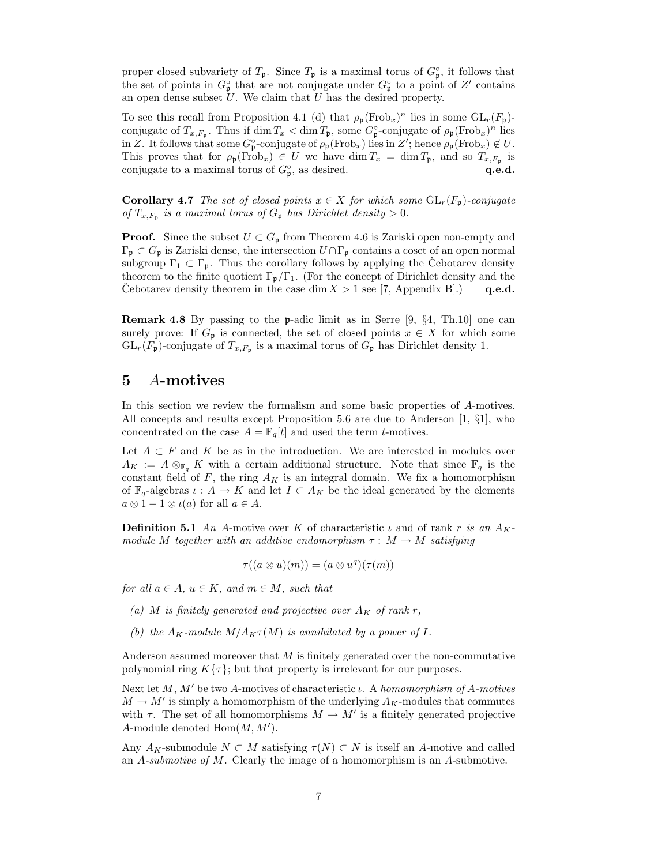proper closed subvariety of  $T_{\mathfrak{p}}$ . Since  $T_{\mathfrak{p}}$  is a maximal torus of  $G_{\mathfrak{p}}^{\circ}$ , it follows that the set of points in  $G_{\mathfrak{p}}^{\circ}$  that are not conjugate under  $G_{\mathfrak{p}}^{\circ}$  to a point of  $Z'$  contains an open dense subset  $U$ . We claim that  $U$  has the desired property.

To see this recall from Proposition 4.1 (d) that  $\rho_{\mathfrak{p}}(\text{Frob}_x)^n$  lies in some  $GL_r(F_{\mathfrak{p}})$ conjugate of  $T_{x,F_{\mathfrak{p}}}$ . Thus if  $\dim T_x < \dim T_{\mathfrak{p}}$ , some  $G_{\mathfrak{p}}^{\circ}$ -conjugate of  $\rho_{\mathfrak{p}}(\text{Frob}_x)^n$  lies in Z. It follows that some  $G_{\mathfrak{p}}^{\circ}$ -conjugate of  $\rho_{\mathfrak{p}}(\text{Frob}_x)$  lies in  $Z'$ ; hence  $\rho_{\mathfrak{p}}(\text{Frob}_x) \notin U$ . This proves that for  $\rho_{\mathfrak{p}}(\text{Frob}_x) \in U$  we have  $\dim T_x = \dim T_{\mathfrak{p}}$ , and so  $T_{x,F_{\mathfrak{p}}}$  is conjugate to a maximal torus of  $G_{\mathfrak{p}}^{\circ}$ , as desired.  $\qquad \qquad \mathbf{q.e.d.}$ 

**Corollary 4.7** The set of closed points  $x \in X$  for which some  $GL_r(F_p)$ -conjugate of  $T_{x,F_p}$  is a maximal torus of  $G_p$  has Dirichlet density  $> 0$ .

**Proof.** Since the subset  $U \subset G_p$  from Theorem 4.6 is Zariski open non-empty and  $\Gamma_{\mathfrak{p}} \subset G_{\mathfrak{p}}$  is Zariski dense, the intersection  $U \cap \Gamma_{\mathfrak{p}}$  contains a coset of an open normal subgroup  $\Gamma_1 \subset \Gamma_p$ . Thus the corollary follows by applying the Cebotarev density theorem to the finite quotient  $\Gamma_{\mathfrak{p}}/\Gamma_1$ . (For the concept of Dirichlet density and the Cebotarev density theorem in the case dim  $X > 1$  see [7, Appendix B].) q.e.d.

**Remark 4.8** By passing to the **p**-adic limit as in Serre  $[9, \S4, \text{Th.10}]$  one can surely prove: If  $G_p$  is connected, the set of closed points  $x \in X$  for which some  $GL_r(F_{\mathfrak{p}})$ -conjugate of  $T_{x,F_{\mathfrak{p}}}$  is a maximal torus of  $G_{\mathfrak{p}}$  has Dirichlet density 1.

# 5 A-motives

In this section we review the formalism and some basic properties of A-motives. All concepts and results except Proposition 5.6 are due to Anderson [1, §1], who concentrated on the case  $A = \mathbb{F}_q[t]$  and used the term *t*-motives.

Let  $A \subset F$  and K be as in the introduction. We are interested in modules over  $A_K := A \otimes_{\mathbb{F}_q} K$  with a certain additional structure. Note that since  $\mathbb{F}_q$  is the constant field of  $F$ , the ring  $A_K$  is an integral domain. We fix a homomorphism of  $\mathbb{F}_q$ -algebras  $\iota: A \to K$  and let  $I \subset A_K$  be the ideal generated by the elements  $a \otimes 1 - 1 \otimes \iota(a)$  for all  $a \in A$ .

**Definition 5.1** An A-motive over K of characteristic  $\iota$  and of rank r is an  $A_K$ module M together with an additive endomorphism  $\tau : M \to M$  satisfying

$$
\tau((a\otimes u)(m))=(a\otimes u^{q})(\tau(m))
$$

for all  $a \in A$ ,  $u \in K$ , and  $m \in M$ , such that

- (a) M is finitely generated and projective over  $A_K$  of rank r,
- (b) the  $A_K$ -module  $M/A_K \tau(M)$  is annihilated by a power of I.

Anderson assumed moreover that  $M$  is finitely generated over the non-commutative polynomial ring  $K\{\tau\}$ ; but that property is irrelevant for our purposes.

Next let M, M' be two A-motives of characteristic  $\iota$ . A homomorphism of A-motives  $M \to M'$  is simply a homomorphism of the underlying  $A_K$ -modules that commutes with  $\tau$ . The set of all homomorphisms  $M \to M'$  is a finitely generated projective A-module denoted  $\text{Hom}(M, M').$ 

Any  $A_K$ -submodule  $N \subset M$  satisfying  $\tau(N) \subset N$  is itself an A-motive and called an A-submotive of M. Clearly the image of a homomorphism is an A-submotive.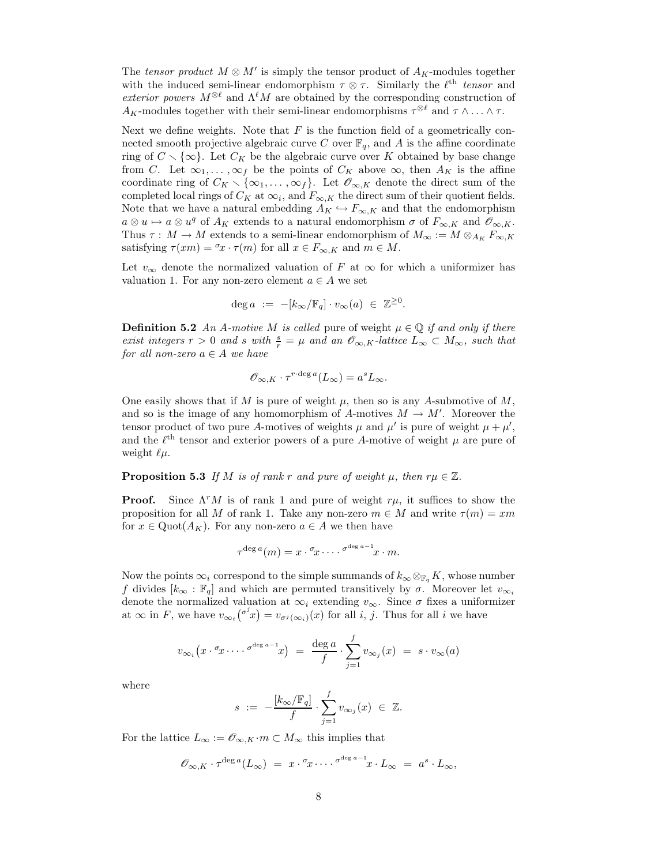The tensor product  $M \otimes M'$  is simply the tensor product of  $A_K$ -modules together with the induced semi-linear endomorphism  $\tau \otimes \tau$ . Similarly the  $\ell^{\text{th}}$  tensor and exterior powers  $M^{\otimes \ell}$  and  $\Lambda^{\ell}M$  are obtained by the corresponding construction of  $A_K$ -modules together with their semi-linear endomorphisms  $\tau^{\otimes \ell}$  and  $\tau \wedge \ldots \wedge \tau$ .

Next we define weights. Note that  $F$  is the function field of a geometrically connected smooth projective algebraic curve C over  $\mathbb{F}_q$ , and A is the affine coordinate ring of  $C \setminus \{\infty\}$ . Let  $C_K$  be the algebraic curve over K obtained by base change from C. Let  $\infty_1, \ldots, \infty_f$  be the points of  $C_K$  above  $\infty$ , then  $A_K$  is the affine coordinate ring of  $C_K \setminus \{\infty_1, \ldots, \infty_f\}$ . Let  $\mathscr{O}_{\infty,K}$  denote the direct sum of the completed local rings of  $C_K$  at  $\infty_i$ , and  $F_{\infty,K}$  the direct sum of their quotient fields. Note that we have a natural embedding  $A_K \hookrightarrow F_{\infty,K}$  and that the endomorphism  $a \otimes u \mapsto a \otimes u^q$  of  $A_K$  extends to a natural endomorphism  $\sigma$  of  $F_{\infty,K}$  and  $\mathscr{O}_{\infty,K}$ . Thus  $\tau : M \to M$  extends to a semi-linear endomorphism of  $M_{\infty} := M \otimes_{A_K} F_{\infty, K}$ satisfying  $\tau(xm) = \tau_x \cdot \tau(m)$  for all  $x \in F_{\infty,K}$  and  $m \in M$ .

Let  $v_{\infty}$  denote the normalized valuation of F at  $\infty$  for which a uniformizer has valuation 1. For any non-zero element  $a \in A$  we set

$$
\deg a := -[k_\infty/\mathbb{F}_q] \cdot v_\infty(a) \in \mathbb{Z}^{\geq 0}.
$$

**Definition 5.2** An A-motive M is called pure of weight  $\mu \in \mathbb{Q}$  if and only if there exist integers  $r > 0$  and s with  $\frac{s}{r} = \mu$  and an  $\mathscr{O}_{\infty,K}$ -lattice  $L_{\infty} \subset M_{\infty}$ , such that for all non-zero  $a \in A$  we have

$$
\mathscr{O}_{\infty,K}\cdot \tau^{r\cdot \deg a}(L_\infty)=a^sL_\infty.
$$

One easily shows that if M is pure of weight  $\mu$ , then so is any A-submotive of M, and so is the image of any homomorphism of A-motives  $M \to M'$ . Moreover the tensor product of two pure A-motives of weights  $\mu$  and  $\mu'$  is pure of weight  $\mu + \mu'$ , and the  $\ell^{\text{th}}$  tensor and exterior powers of a pure A-motive of weight  $\mu$  are pure of weight  $\ell\mu$ .

**Proposition 5.3** If M is of rank r and pure of weight  $\mu$ , then  $r\mu \in \mathbb{Z}$ .

**Proof.** Since  $\Lambda^r M$  is of rank 1 and pure of weight  $r\mu$ , it suffices to show the proposition for all M of rank 1. Take any non-zero  $m \in M$  and write  $\tau(m) = xm$ for  $x \in \text{Quot}(A_K)$ . For any non-zero  $a \in A$  we then have

$$
\tau^{\deg a}(m) = x \cdot {}^{\sigma}x \cdots \cdot {}^{\sigma^{\deg a-1}}x \cdot m.
$$

Now the points  $\infty_i$  correspond to the simple summands of  $k_{\infty} \otimes_{\mathbb{F}_q} K$ , whose number f divides  $[k_{\infty} : \mathbb{F}_q]$  and which are permuted transitively by  $\sigma$ . Moreover let  $v_{\infty}$ denote the normalized valuation at  $\infty_i$  extending  $v_{\infty}$ . Since  $\sigma$  fixes a uniformizer at  $\infty$  in F, we have  $v_{\infty}(\sigma^j x) = v_{\sigma^j(\infty_i)}(x)$  for all i, j. Thus for all i we have

$$
v_{\infty_i}(x \cdot \sigma_x \dots \sigma^{\deg a-1} x) = \frac{\deg a}{f} \cdot \sum_{j=1}^f v_{\infty_j}(x) = s \cdot v_{\infty}(a)
$$

where

$$
s \ := \ -\frac{[k_\infty/\mathbb{F}_q]}{f} \cdot \sum_{j=1}^f v_{\infty_j}(x) \ \in \ \mathbb{Z}.
$$

For the lattice  $L_{\infty} := \mathscr{O}_{\infty,K} \cdot m \subset M_{\infty}$  this implies that

$$
\mathscr{O}_{\infty,K} \cdot \tau^{\deg a}(L_{\infty}) = x \cdot \mathscr{I}_x \cdot \ldots \cdot \mathscr{I}^{\deg a-1} x \cdot L_{\infty} = a^s \cdot L_{\infty},
$$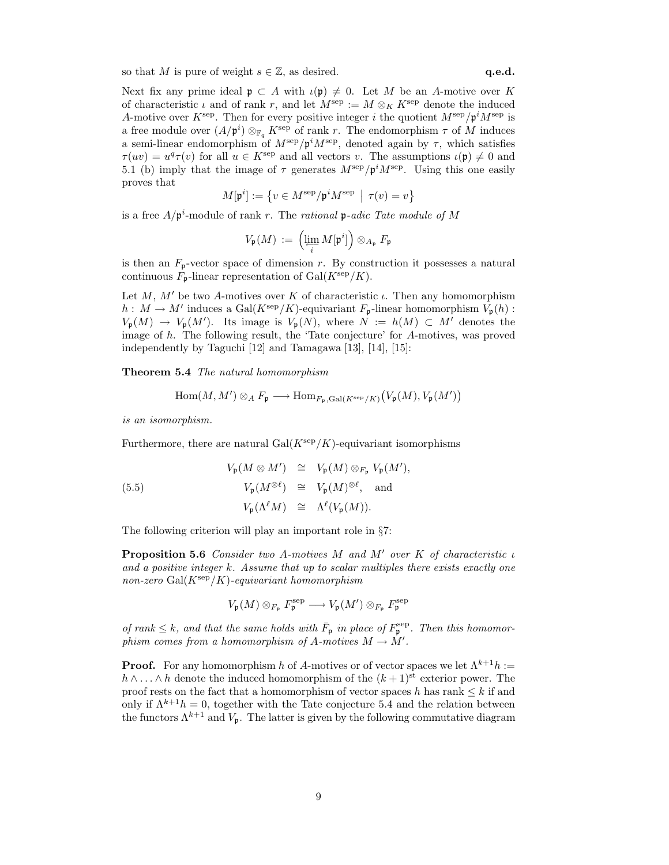so that M is pure of weight  $s \in \mathbb{Z}$ , as desired. q.e.d.

Next fix any prime ideal  $\mathfrak{p} \subset A$  with  $\iota(\mathfrak{p}) \neq 0$ . Let M be an A-motive over K of characteristic  $\iota$  and of rank r, and let  $M^{\text{sep}} := M \otimes_K K^{\text{sep}}$  denote the induced A-motive over  $K^{\text{sep}}$ . Then for every positive integer i the quotient  $M^{\text{sep}}/\mathfrak{p}^i M^{\text{sep}}$  is a free module over  $(A/\mathfrak{p}^i) \otimes_{\mathbb{F}_q} K^{\text{sep}}$  of rank r. The endomorphism  $\tau$  of M induces a semi-linear endomorphism of  $M^{\text{sep}}/\mathfrak{p}^i M^{\text{sep}}$ , denoted again by  $\tau$ , which satisfies  $\tau(uv) = u^q \tau(v)$  for all  $u \in K^{\text{sep}}$  and all vectors v. The assumptions  $\iota(\mathfrak{p}) \neq 0$  and 5.1 (b) imply that the image of  $\tau$  generates  $M^{\text{sep}}/\mathfrak{p}^i M^{\text{sep}}$ . Using this one easily proves that

$$
M[\mathfrak{p}^i] := \left\{ v \in M^{\text{sep}} / \mathfrak{p}^i M^{\text{sep}} \mid \tau(v) = v \right\}
$$

is a free  $A/\mathfrak{p}^i$ -module of rank r. The rational  $\mathfrak{p}\text{-}adic$  Tate module of M

$$
V_{\mathfrak{p}}(M) \,:=\, \left(\lim\limits_{\substack{\longleftarrow \\ i}} M[\mathfrak{p}^i] \right) \otimes_{A_{\mathfrak{p}}} F_{\mathfrak{p}}
$$

is then an  $F_{\mathfrak{p}}$ -vector space of dimension r. By construction it possesses a natural continuous  $F_{\mathfrak{p}}$ -linear representation of Gal $(K^{\text{sep}}/K)$ .

Let M, M' be two A-motives over K of characteristic  $\iota$ . Then any homomorphism  $h: M \to M'$  induces a  $Gal(K^{\text{sep}}/K)$ -equivariant  $F_{\mathfrak{p}}$ -linear homomorphism  $V_{\mathfrak{p}}(h):$  $V_{\mathfrak{p}}(M) \to V_{\mathfrak{p}}(M')$ . Its image is  $V_{\mathfrak{p}}(N)$ , where  $N := h(M) \subset M'$  denotes the image of h. The following result, the 'Tate conjecture' for A-motives, was proved independently by Taguchi [12] and Tamagawa [13], [14], [15]:

Theorem 5.4 The natural homomorphism

$$
\operatorname{Hom}(M,M')\otimes_A F_{\mathfrak{p}}\longrightarrow \operatorname{Hom}_{F_{\mathfrak{p}},\operatorname{Gal}(K^{\operatorname{sep}}/K)}\big(V_{\mathfrak{p}}(M),V_{\mathfrak{p}}(M')\big)
$$

is an isomorphism.

Furthermore, there are natural  $Gal(K^{\text{sep}}/K)$ -equivariant isomorphisms

(5.5)  
\n
$$
V_{\mathfrak{p}}(M \otimes M') \cong V_{\mathfrak{p}}(M) \otimes_{F_{\mathfrak{p}}} V_{\mathfrak{p}}(M'),
$$
\n
$$
V_{\mathfrak{p}}(M^{\otimes \ell}) \cong V_{\mathfrak{p}}(M)^{\otimes \ell}, \text{ and}
$$
\n
$$
V_{\mathfrak{p}}(\Lambda^{\ell}M) \cong \Lambda^{\ell}(V_{\mathfrak{p}}(M)).
$$

The following criterion will play an important role in §7:

**Proposition 5.6** Consider two A-motives M and M' over K of characteristic  $\iota$ and a positive integer k. Assume that up to scalar multiples there exists exactly one non-zero  $Gal(K^{\text{sep}}/K)$ -equivariant homomorphism

$$
V_{\mathfrak{p}}(M) \otimes_{F_{\mathfrak{p}}} F_{\mathfrak{p}}^{\mathrm{sep}} \longrightarrow V_{\mathfrak{p}}(M') \otimes_{F_{\mathfrak{p}}} F_{\mathfrak{p}}^{\mathrm{sep}}
$$

of rank  $\leq k$ , and that the same holds with  $\bar{F}_{\mathfrak{p}}$  in place of  $F_{\mathfrak{p}}^{\text{sep}}$ . Then this homomorphism comes from a homomorphism of A-motives  $M \to M'$ .

**Proof.** For any homomorphism h of A-motives or of vector spaces we let  $\Lambda^{k+1}h :=$  $h \wedge \ldots \wedge h$  denote the induced homomorphism of the  $(k+1)$ <sup>st</sup> exterior power. The proof rests on the fact that a homomorphism of vector spaces h has rank  $\leq k$  if and only if  $\Lambda^{k+1}h = 0$ , together with the Tate conjecture 5.4 and the relation between the functors  $\Lambda^{k+1}$  and  $V_p$ . The latter is given by the following commutative diagram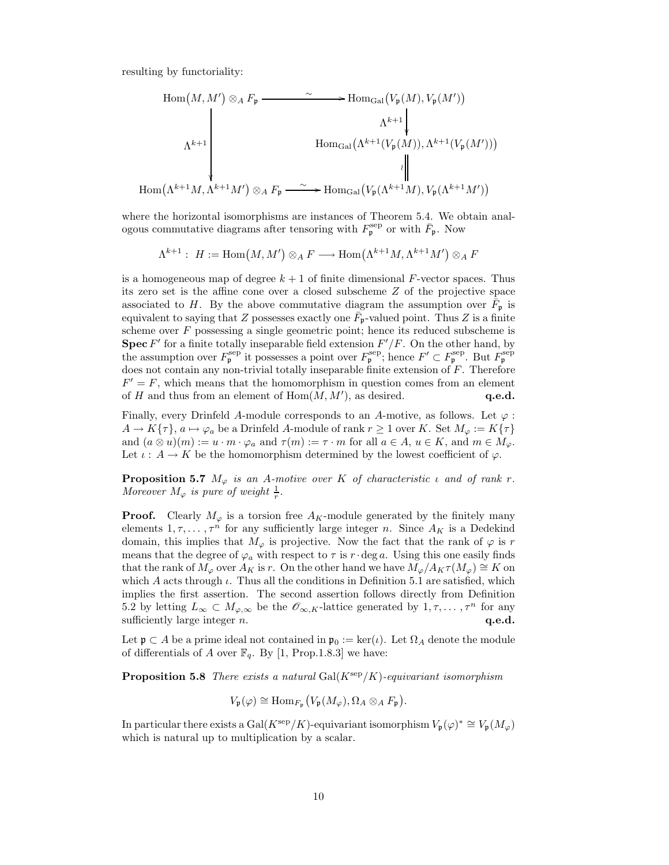resulting by functoriality:

$$
\text{Hom}(M, M') \otimes_A F_{\mathfrak{p}} \xrightarrow{\sim} \text{Hom}_{\text{Gal}}(V_{\mathfrak{p}}(M), V_{\mathfrak{p}}(M'))
$$
\n
$$
\Lambda^{k+1} \downarrow \qquad \text{Hom}_{\text{Gal}}(\Lambda^{k+1}(V_{\mathfrak{p}}(M)), \Lambda^{k+1}(V_{\mathfrak{p}}(M')))
$$
\n
$$
\text{Hom}(\Lambda^{k+1}M, \Lambda^{k+1}M') \otimes_A F_{\mathfrak{p}} \xrightarrow{\sim} \text{Hom}_{\text{Gal}}(V_{\mathfrak{p}}(\Lambda^{k+1}M), V_{\mathfrak{p}}(\Lambda^{k+1}M'))
$$

where the horizontal isomorphisms are instances of Theorem 5.4. We obtain analogous commutative diagrams after tensoring with  $F_{\mathfrak{p}}^{\text{sep}}$  or with  $\bar{F}_{\mathfrak{p}}$ . Now

 $\Lambda^{k+1}:\; H:=\mathrm{Hom}\big(M,M'\big)\otimes_A F\longrightarrow \mathrm{Hom}\big(\Lambda^{k+1}M,\Lambda^{k+1}M'\big)\otimes_A F$ 

is a homogeneous map of degree  $k + 1$  of finite dimensional F-vector spaces. Thus its zero set is the affine cone over a closed subscheme Z of the projective space associated to H. By the above commutative diagram the assumption over  $\bar{F}_{\mathfrak{p}}$  is equivalent to saying that Z possesses exactly one  $\bar{F}_{\mathfrak{p}}$ -valued point. Thus Z is a finite scheme over  $F$  possessing a single geometric point; hence its reduced subscheme is **Spec**  $F'$  for a finite totally inseparable field extension  $F'/F$ . On the other hand, by the assumption over  $F_{\mathfrak{p}}^{\text{sep}}$  it possesses a point over  $F_{\mathfrak{p}}^{\text{sep}}$ ; hence  $F' \subset F_{\mathfrak{p}}^{\text{sep}}$ . But  $F_{\mathfrak{p}}^{\text{sep}}$ does not contain any non-trivial totally inseparable finite extension of  $F$ . Therefore  $F' = F$ , which means that the homomorphism in question comes from an element of H and thus from an element of  $Hom(M, M')$ , as desired.  $\bold{q.e.d.}$ 

Finally, every Drinfeld A-module corresponds to an A-motive, as follows. Let  $\varphi$ :  $A \to K\{\tau\}, a \mapsto \varphi_a$  be a Drinfeld A-module of rank  $r \ge 1$  over K. Set  $M_{\varphi} := K\{\tau\}$ and  $(a \otimes u)(m) := u \cdot m \cdot \varphi_a$  and  $\tau(m) := \tau \cdot m$  for all  $a \in A$ ,  $u \in K$ , and  $m \in M_{\varphi}$ . Let  $\iota: A \to K$  be the homomorphism determined by the lowest coefficient of  $\varphi$ .

**Proposition 5.7**  $M_{\varphi}$  is an A-motive over K of characteristic  $\iota$  and of rank r. Moreover  $M_{\varphi}$  is pure of weight  $\frac{1}{r}$ .

**Proof.** Clearly  $M_{\varphi}$  is a torsion free  $A_K$ -module generated by the finitely many elements  $1, \tau, \ldots, \tau^n$  for any sufficiently large integer n. Since  $A_K$  is a Dedekind domain, this implies that  $M_{\varphi}$  is projective. Now the fact that the rank of  $\varphi$  is r means that the degree of  $\varphi_a$  with respect to  $\tau$  is  $r \cdot$  deg a. Using this one easily finds that the rank of  $M_{\varphi}$  over  $A_K$  is r. On the other hand we have  $M_{\varphi}/A_K \tau(M_{\varphi}) \cong K$  on which A acts through  $\iota$ . Thus all the conditions in Definition 5.1 are satisfied, which implies the first assertion. The second assertion follows directly from Definition 5.2 by letting  $L_{\infty} \subset M_{\varphi,\infty}$  be the  $\mathscr{O}_{\infty,K}$ -lattice generated by  $1,\tau,\ldots,\tau^{n}$  for any sufficiently large integer  $n$ .  $q.e.d.$ 

Let  $\mathfrak{p} \subset A$  be a prime ideal not contained in  $\mathfrak{p}_0 := \ker(\iota)$ . Let  $\Omega_A$  denote the module of differentials of A over  $\mathbb{F}_q$ . By [1, Prop.1.8.3] we have:

**Proposition 5.8** There exists a natural Gal( $K^{\text{sep}}/K$ )-equivariant isomorphism

$$
V_{\mathfrak{p}}(\varphi) \cong \mathrm{Hom}_{F_{\mathfrak{p}}}\big(V_{\mathfrak{p}}(M_{\varphi}), \Omega_{A} \otimes_{A} F_{\mathfrak{p}}\big).
$$

In particular there exists a Gal( $K^{\text{sep}}/K$ )-equivariant isomorphism  $V_{\mathfrak{p}}(\varphi)^* \cong V_{\mathfrak{p}}(M_{\varphi})$ which is natural up to multiplication by a scalar.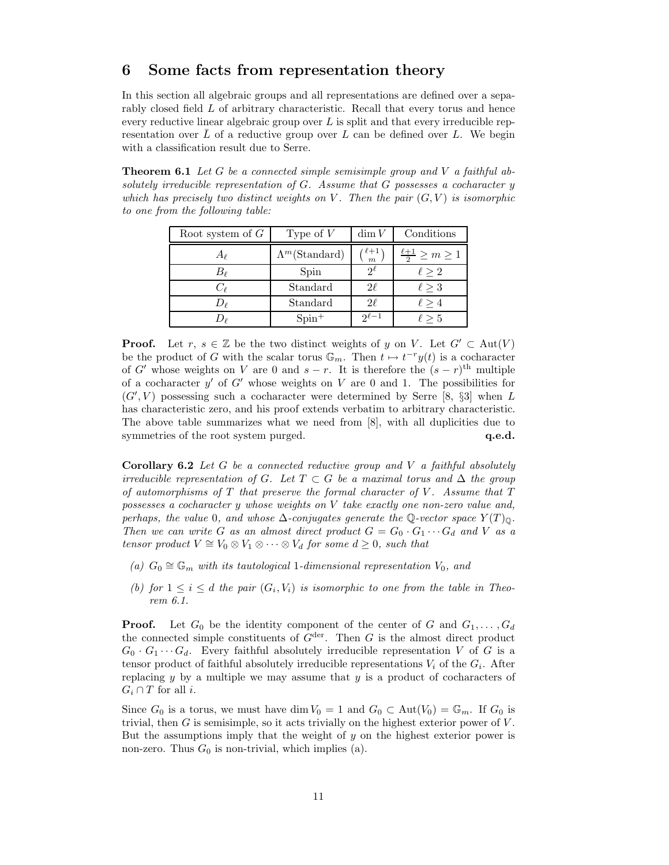# 6 Some facts from representation theory

In this section all algebraic groups and all representations are defined over a separably closed field L of arbitrary characteristic. Recall that every torus and hence every reductive linear algebraic group over  $L$  is split and that every irreducible representation over L of a reductive group over L can be defined over L. We begin with a classification result due to Serre.

**Theorem 6.1** Let G be a connected simple semisimple group and V a faithful absolutely irreducible representation of  $G$ . Assume that  $G$  possesses a cocharacter  $y$ which has precisely two distinct weights on V. Then the pair  $(G, V)$  is isomorphic to one from the following table:

| Root system of $G$ | Type of $V$            | $\dim V$             | Conditions                       |
|--------------------|------------------------|----------------------|----------------------------------|
| Aρ                 | $\Lambda^m$ (Standard) | $\frac{\ell+1}{m}$   | $\frac{\ell+1}{2} \geq m \geq 1$ |
| $B_{\ell}$         | Spin                   | $\mathcal{D}^{\ell}$ | $\ell > 2$                       |
| $C_{\ell}$         | Standard               | $2\ell$              | $\ell > 3$                       |
| Dρ                 | Standard               | $2\ell$              | $\ell > 4$                       |
|                    | $Spin^+$               | $\gamma\ell-1$       | $\ell > 5$                       |

**Proof.** Let r,  $s \in \mathbb{Z}$  be the two distinct weights of y on V. Let  $G' \subset Aut(V)$ be the product of G with the scalar torus  $\mathbb{G}_m$ . Then  $t \mapsto t^{-r}y(t)$  is a cocharacter of G' whose weights on V are 0 and  $s - r$ . It is therefore the  $(s - r)$ <sup>th</sup> multiple of a cocharacter  $y'$  of  $G'$  whose weights on V are 0 and 1. The possibilities for  $(G', V)$  possessing such a cocharacter were determined by Serre [8, §3] when L has characteristic zero, and his proof extends verbatim to arbitrary characteristic. The above table summarizes what we need from [8], with all duplicities due to symmetries of the root system purged.  $q.e.d.$ 

**Corollary 6.2** Let G be a connected reductive group and V a faithful absolutely irreducible representation of G. Let  $T \subset G$  be a maximal torus and  $\Delta$  the group of automorphisms of  $T$  that preserve the formal character of  $V$ . Assume that  $T$ possesses a cocharacter y whose weights on V take exactly one non-zero value and, perhaps, the value 0, and whose  $\Delta$ -conjugates generate the Q-vector space  $Y(T)_{\mathbb{Q}}$ . Then we can write G as an almost direct product  $G = G_0 \cdot G_1 \cdots G_d$  and V as a tensor product  $V \cong V_0 \otimes V_1 \otimes \cdots \otimes V_d$  for some  $d \geq 0$ , such that

- (a)  $G_0 \cong \mathbb{G}_m$  with its tautological 1-dimensional representation  $V_0$ , and
- (b) for  $1 \leq i \leq d$  the pair  $(G_i, V_i)$  is isomorphic to one from the table in Theorem 6.1.

**Proof.** Let  $G_0$  be the identity component of the center of G and  $G_1, \ldots, G_d$ the connected simple constituents of  $G^{\text{der}}$ . Then G is the almost direct product  $G_0 \cdot G_1 \cdots G_d$ . Every faithful absolutely irreducible representation V of G is a tensor product of faithful absolutely irreducible representations  $V_i$  of the  $G_i$ . After replacing  $y$  by a multiple we may assume that  $y$  is a product of cocharacters of  $G_i \cap T$  for all *i*.

Since  $G_0$  is a torus, we must have dim  $V_0 = 1$  and  $G_0 \subset Aut(V_0) = \mathbb{G}_m$ . If  $G_0$  is trivial, then  $G$  is semisimple, so it acts trivially on the highest exterior power of  $V$ . But the assumptions imply that the weight of  $y$  on the highest exterior power is non-zero. Thus  $G_0$  is non-trivial, which implies (a).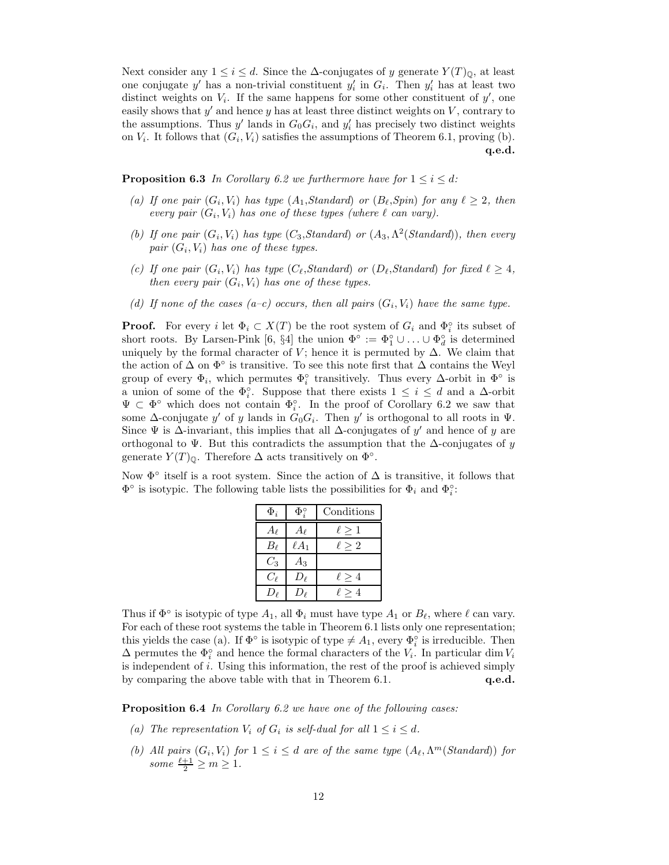Next consider any  $1 \leq i \leq d$ . Since the  $\Delta$ -conjugates of y generate  $Y(T)_{\mathbb{Q}}$ , at least one conjugate y' has a non-trivial constituent  $y_i'$  in  $G_i$ . Then  $y_i'$  has at least two distinct weights on  $V_i$ . If the same happens for some other constituent of  $y'$ , one easily shows that  $y'$  and hence  $y$  has at least three distinct weights on  $V$ , contrary to the assumptions. Thus  $y'$  lands in  $G_0G_i$ , and  $y'_i$  has precisely two distinct weights on  $V_i$ . It follows that  $(G_i, V_i)$  satisfies the assumptions of Theorem 6.1, proving (b). q.e.d.

**Proposition 6.3** In Corollary 6.2 we furthermore have for  $1 \leq i \leq d$ :

- (a) If one pair  $(G_i, V_i)$  has type  $(A_1, Standard)$  or  $(B_\ell, Spin)$  for any  $\ell \geq 2$ , then every pair  $(G_i, V_i)$  has one of these types (where  $\ell$  can vary).
- (b) If one pair  $(G_i, V_i)$  has type  $(C_3, Standard)$  or  $(A_3, \Lambda^2(Standard))$ , then every pair  $(G_i, V_i)$  has one of these types.
- (c) If one pair  $(G_i, V_i)$  has type  $(C_{\ell}, Standard)$  or  $(D_{\ell}, Standard)$  for fixed  $\ell \geq 4$ , then every pair  $(G_i, V_i)$  has one of these types.
- (d) If none of the cases (a-c) occurs, then all pairs  $(G_i, V_i)$  have the same type.

**Proof.** For every i let  $\Phi_i \subset X(T)$  be the root system of  $G_i$  and  $\Phi_i^{\circ}$  its subset of short roots. By Larsen-Pink [6, §4] the union  $\Phi^{\circ} := \Phi_1^{\circ} \cup \ldots \cup \Phi_d^{\circ}$  is determined uniquely by the formal character of V; hence it is permuted by  $\Delta$ . We claim that the action of  $\Delta$  on  $\Phi^{\circ}$  is transitive. To see this note first that  $\Delta$  contains the Weyl group of every  $\Phi_i$ , which permutes  $\Phi_i^{\circ}$  transitively. Thus every  $\Delta$ -orbit in  $\Phi^{\circ}$  is a union of some of the  $\Phi_i^{\circ}$ . Suppose that there exists  $1 \leq i \leq d$  and a  $\Delta$ -orbit  $\Psi \subset \Phi^{\circ}$  which does not contain  $\Phi_i^{\circ}$ . In the proof of Corollary 6.2 we saw that some  $\Delta$ -conjugate y' of y lands in  $G_0G_i$ . Then y' is orthogonal to all roots in  $\Psi$ . Since  $\Psi$  is  $\Delta$ -invariant, this implies that all  $\Delta$ -conjugates of y' and hence of y are orthogonal to  $\Psi$ . But this contradicts the assumption that the  $\Delta$ -conjugates of y generate  $Y(T)_{\mathbb{Q}}$ . Therefore  $\Delta$  acts transitively on  $\Phi^{\circ}$ .

Now  $\Phi^{\circ}$  itself is a root system. Since the action of  $\Delta$  is transitive, it follows that  $\Phi^{\circ}$  is isotypic. The following table lists the possibilities for  $\Phi_i$  and  $\Phi_i^{\circ}$ :

| $\Phi_i$   | $\Phi_i^{\circ}$ | Conditions    |
|------------|------------------|---------------|
| $A_{\ell}$ | $A_{\ell}$       | $\ell \geq 1$ |
| $B_{\ell}$ | $\ell A_1$       | $\ell \geq 2$ |
| $C_3$      | Aз               |               |
| $C_{\ell}$ | $D_{\ell}$       | $\ell \geq 4$ |
| $D_{\ell}$ | De               | $\ell \geq 4$ |

Thus if  $\Phi^{\circ}$  is isotypic of type  $A_1$ , all  $\Phi_i$  must have type  $A_1$  or  $B_\ell$ , where  $\ell$  can vary. For each of these root systems the table in Theorem 6.1 lists only one representation; this yields the case (a). If  $\Phi^{\circ}$  is isotypic of type  $\neq A_1$ , every  $\Phi_i^{\circ}$  is irreducible. Then  $\Delta$  permutes the  $\Phi_i^{\circ}$  and hence the formal characters of the  $V_i$ . In particular dim  $V_i$ is independent of  $i$ . Using this information, the rest of the proof is achieved simply by comparing the above table with that in Theorem 6.1. **q.e.d.** 

Proposition 6.4 In Corollary 6.2 we have one of the following cases:

- (a) The representation  $V_i$  of  $G_i$  is self-dual for all  $1 \leq i \leq d$ .
- (b) All pairs  $(G_i, V_i)$  for  $1 \leq i \leq d$  are of the same type  $(A_\ell, \Lambda^m(Standard))$  for some  $\frac{\ell+1}{2} \ge m \ge 1$ .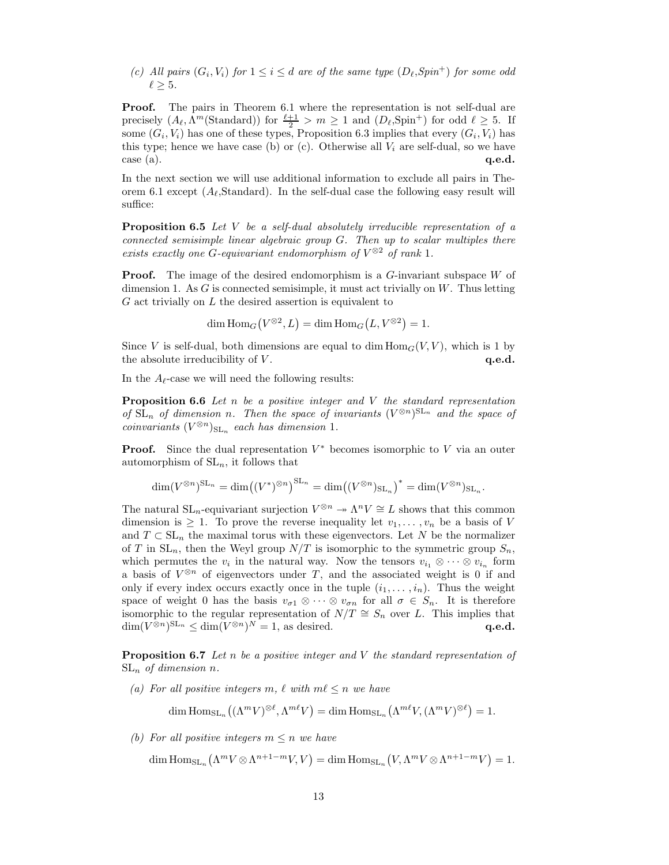(c) All pairs  $(G_i, V_i)$  for  $1 \leq i \leq d$  are of the same type  $(D_\ell, Spin^+)$  for some odd  $\ell \geq 5$ .

Proof. The pairs in Theorem 6.1 where the representation is not self-dual are precisely  $(A_{\ell}, \Lambda^m(\text{Standard}))$  for  $\frac{\ell+1}{2} > m \ge 1$  and  $(D_{\ell}, \text{Spin}^+)$  for odd  $\ell \ge 5$ . If some  $(G_i, V_i)$  has one of these types, Proposition 6.3 implies that every  $(G_i, V_i)$  has this type; hence we have case (b) or (c). Otherwise all  $V_i$  are self-dual, so we have  $\cos$  (a).  $\qquad \qquad \textbf{q.e.d.}$ 

In the next section we will use additional information to exclude all pairs in Theorem 6.1 except  $(A_\ell, \text{Standard})$ . In the self-dual case the following easy result will suffice:

**Proposition 6.5** Let V be a self-dual absolutely irreducible representation of a connected semisimple linear algebraic group G. Then up to scalar multiples there exists exactly one G-equivariant endomorphism of  $V^{\otimes 2}$  of rank 1.

**Proof.** The image of the desired endomorphism is a G-invariant subspace W of dimension 1. As  $G$  is connected semisimple, it must act trivially on  $W$ . Thus letting  $G$  act trivially on  $L$  the desired assertion is equivalent to

$$
\dim \operatorname{Hom}_G(V^{\otimes 2}, L) = \dim \operatorname{Hom}_G(L, V^{\otimes 2}) = 1.
$$

Since V is self-dual, both dimensions are equal to dim  $\text{Hom}_G(V, V)$ , which is 1 by the absolute irreducibility of  $V$ .  $q.e.d.$ 

In the  $A_{\ell}$ -case we will need the following results:

**Proposition 6.6** Let n be a positive integer and V the standard representation of  $SL_n$  of dimension n. Then the space of invariants  $(V^{\otimes n})^{SL_n}$  and the space of  $coinvariants (V^{\otimes n})_{\mathrm{SL}_n}$  each has dimension 1.

**Proof.** Since the dual representation  $V^*$  becomes isomorphic to V via an outer automorphism of  $SL_n$ , it follows that

$$
\dim(V^{\otimes n})^{\mathrm{SL}_n} = \dim((V^*)^{\otimes n})^{\mathrm{SL}_n} = \dim((V^{\otimes n})_{\mathrm{SL}_n})^* = \dim(V^{\otimes n})_{\mathrm{SL}_n}.
$$

The natural  $SL_n$ -equivariant surjection  $V^{\otimes n} \to \Lambda^n V \cong L$  shows that this common dimension is  $\geq 1$ . To prove the reverse inequality let  $v_1, \ldots, v_n$  be a basis of V and  $T \subset SL_n$  the maximal torus with these eigenvectors. Let N be the normalizer of T in  $SL_n$ , then the Weyl group  $N/T$  is isomorphic to the symmetric group  $S_n$ , which permutes the  $v_i$  in the natural way. Now the tensors  $v_{i_1} \otimes \cdots \otimes v_{i_n}$  form a basis of  $V^{\otimes n}$  of eigenvectors under T, and the associated weight is 0 if and only if every index occurs exactly once in the tuple  $(i_1, \ldots, i_n)$ . Thus the weight space of weight 0 has the basis  $v_{\sigma 1} \otimes \cdots \otimes v_{\sigma n}$  for all  $\sigma \in S_n$ . It is therefore isomorphic to the regular representation of  $N/T \cong S_n$  over L. This implies that  $\dim(V^{\otimes n})^{\mathrm{SL}_n} \leq \dim(V^{\otimes n})^N = 1$ , as desired.  $\mathbf{q.e.d.}$ 

**Proposition 6.7** Let n be a positive integer and V the standard representation of  $SL_n$  of dimension n.

(a) For all positive integers m,  $\ell$  with  $m\ell \leq n$  we have

$$
\dim \mathrm{Hom}_{\mathrm{SL}_n}\big((\Lambda^m V)^{\otimes \ell}, \Lambda^{m\ell} V\big) = \dim \mathrm{Hom}_{\mathrm{SL}_n}\big(\Lambda^{m\ell} V, (\Lambda^m V)^{\otimes \ell}\big) = 1.
$$

(b) For all positive integers  $m \leq n$  we have

 $\dim\mathrm{Hom}_{\mathrm{SL}_n}\left(\Lambda^m V\otimes \Lambda^{n+1-m} V, V\right)=\dim\mathrm{Hom}_{\mathrm{SL}_n}\left(V,\Lambda^m V\otimes \Lambda^{n+1-m} V\right)=1.$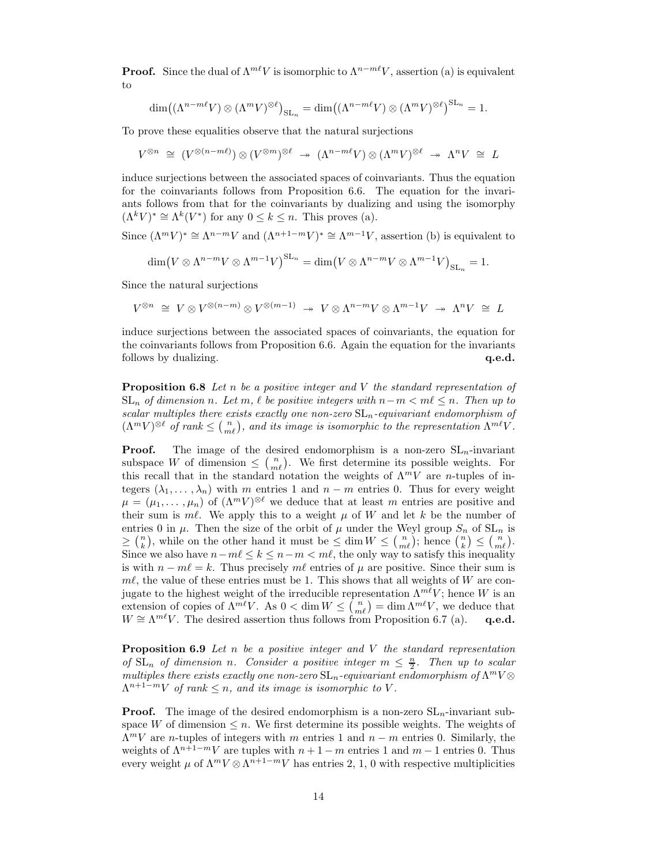**Proof.** Since the dual of  $\Lambda^{m\ell}V$  is isomorphic to  $\Lambda^{n-m\ell}V$ , assertion (a) is equivalent to

$$
\dim((\Lambda^{n-m\ell}V)\otimes(\Lambda^mV)^{\otimes\ell})_{\operatorname{SL}_n}=\dim((\Lambda^{n-m\ell}V)\otimes(\Lambda^mV)^{\otimes\ell})^{\operatorname{SL}_n}=1.
$$

To prove these equalities observe that the natural surjections

 $V^{\otimes n} \cong (V^{\otimes (n-m\ell)}) \otimes (V^{\otimes m})^{\otimes \ell} \rightarrow ( \Lambda^{n-m\ell} V) \otimes (\Lambda^m V)^{\otimes \ell} \rightarrow \Lambda^n V \cong L$ 

induce surjections between the associated spaces of coinvariants. Thus the equation for the coinvariants follows from Proposition 6.6. The equation for the invariants follows from that for the coinvariants by dualizing and using the isomorphy  $(\Lambda^k V)^* \cong \Lambda^k(V^*)$  for any  $0 \leq k \leq n$ . This proves (a).

Since  $(\Lambda^m V)^* \cong \Lambda^{n-m} V$  and  $(\Lambda^{n+1-m} V)^* \cong \Lambda^{m-1} V$ , assertion (b) is equivalent to

$$
\dim(V\otimes \Lambda^{n-m}V\otimes \Lambda^{m-1}V)^{\operatorname{SL}_n} = \dim(V\otimes \Lambda^{n-m}V\otimes \Lambda^{m-1}V)_{\operatorname{SL}_n} = 1.
$$

Since the natural surjections

 $V^{\otimes n} \cong V \otimes V^{\otimes (n-m)} \otimes V^{\otimes (m-1)} \rightarrow V \otimes \Lambda^{n-m} V \otimes \Lambda^{m-1} V \rightarrow \Lambda^n V \cong L$ 

induce surjections between the associated spaces of coinvariants, the equation for the coinvariants follows from Proposition 6.6. Again the equation for the invariants follows by dualizing.  $q.e.d.$ 

**Proposition 6.8** Let n be a positive integer and V the standard representation of  $SL_n$  of dimension n. Let m,  $\ell$  be positive integers with  $n-m < m\ell \leq n$ . Then up to scalar multiples there exists exactly one non-zero  $SL_n$ -equivariant endomorphism of  $(\Lambda^m V)^{\otimes \ell}$  of rank  $\leq \binom{n}{m\ell}$ , and its image is isomorphic to the representation  $\Lambda^{m\ell} V$ .

**Proof.** The image of the desired endomorphism is a non-zero  $SL_n$ -invariant subspace W of dimension  $\leq \binom{n}{m\ell}$ . We first determine its possible weights. For this recall that in the standard notation the weights of  $\Lambda^m V$  are *n*-tuples of integers  $(\lambda_1, \ldots, \lambda_n)$  with m entries 1 and  $n - m$  entries 0. Thus for every weight  $\mu = (\mu_1, \dots, \mu_n)$  of  $(\Lambda^m V)^{\otimes \ell}$  we deduce that at least m entries are positive and their sum is  $m\ell$ . We apply this to a weight  $\mu$  of W and let k be the number of entries 0 in  $\mu$ . Then the size of the orbit of  $\mu$  under the Weyl group  $S_n$  of  $SL_n$  is  $\geq {n \choose k}$ , while on the other hand it must be  $\leq \dim W \leq {n \choose m\ell}$ ; hence  ${n \choose k} \leq {n \choose m\ell}$ . Since we also have  $n-m \leq k \leq n-m < m\ell$ , the only way to satisfy this inequality is with  $n - m\ell = k$ . Thus precisely  $m\ell$  entries of  $\mu$  are positive. Since their sum is  $m\ell$ , the value of these entries must be 1. This shows that all weights of W are conjugate to the highest weight of the irreducible representation  $\Lambda^{m\ell}V$ ; hence W is an extension of copies of  $\Lambda^{m\ell}V$ . As  $0 < \dim W \leq {n \choose m\ell} = \dim \Lambda^{m\ell}V$ , we deduce that  $W \cong \Lambda^{m\ell}V$ . The desired assertion thus follows from Proposition 6.7 (a). q.e.d.

**Proposition 6.9** Let n be a positive integer and V the standard representation of  $SL_n$  of dimension n. Consider a positive integer  $m \leq \frac{n}{2}$ . Then up to scalar multiples there exists exactly one non-zero  $\operatorname{SL}_n$ -equivariant endomorphism of  $\Lambda^m V \otimes$  $\Lambda^{n+1-m}V$  of rank  $\leq n$ , and its image is isomorphic to V.

**Proof.** The image of the desired endomorphism is a non-zero  $SL_n$ -invariant subspace W of dimension  $\leq n$ . We first determine its possible weights. The weights of  $\Lambda^m V$  are *n*-tuples of integers with m entries 1 and  $n - m$  entries 0. Similarly, the weights of  $\Lambda^{n+1-m}V$  are tuples with  $n+1-m$  entries 1 and  $m-1$  entries 0. Thus every weight  $\mu$  of  $\Lambda^m V \otimes \Lambda^{n+1-m} V$  has entries 2, 1, 0 with respective multiplicities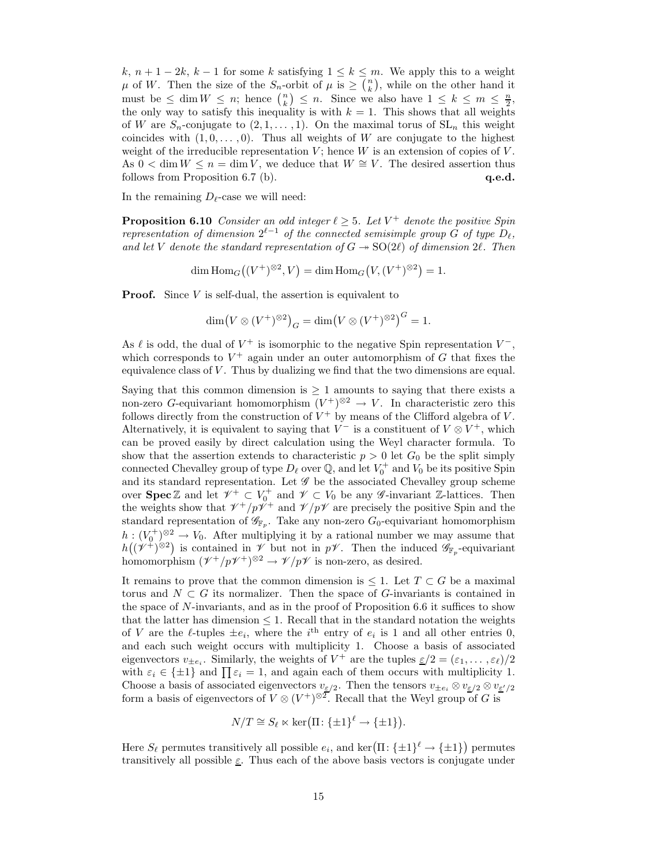k,  $n+1-2k$ ,  $k-1$  for some k satisfying  $1 \leq k \leq m$ . We apply this to a weight  $\mu$  of W. Then the size of the  $S_n$ -orbit of  $\mu$  is  $\geq \binom{n}{k}$ , while on the other hand it must be  $\leq \dim W \leq n$ ; hence  $\binom{n}{k} \leq n$ . Since we also have  $1 \leq k \leq m \leq \frac{n}{2}$ , the only way to satisfy this inequality is with  $k = 1$ . This shows that all weights of W are  $S_n$ -conjugate to  $(2, 1, \ldots, 1)$ . On the maximal torus of  $SL_n$  this weight coincides with  $(1, 0, \ldots, 0)$ . Thus all weights of W are conjugate to the highest weight of the irreducible representation  $V$ ; hence  $W$  is an extension of copies of  $V$ . As  $0 < \dim W \leq n = \dim V$ , we deduce that  $W \cong V$ . The desired assertion thus follows from Proposition 6.7 (b).  $q.e.d.$ 

In the remaining  $D_{\ell}$ -case we will need:

**Proposition 6.10** Consider an odd integer  $\ell \geq 5$ . Let  $V^+$  denote the positive Spin representation of dimension  $2^{\ell-1}$  of the connected semisimple group G of type  $D_{\ell}$ , and let V denote the standard representation of  $G \rightarrow SO(2\ell)$  of dimension 2 $\ell$ . Then

dim  $\text{Hom}_G((V^+)^{\otimes 2}, V) = \dim \text{Hom}_G(V, (V^+)^{\otimes 2}) = 1.$ 

**Proof.** Since  $V$  is self-dual, the assertion is equivalent to

$$
\dim(V \otimes (V^+)^{\otimes 2})_G = \dim(V \otimes (V^+)^{\otimes 2})^G = 1.
$$

As  $\ell$  is odd, the dual of  $V^+$  is isomorphic to the negative Spin representation  $V^-$ , which corresponds to  $V^+$  again under an outer automorphism of G that fixes the equivalence class of  $V$ . Thus by dualizing we find that the two dimensions are equal.

Saying that this common dimension is  $\geq 1$  amounts to saying that there exists a non-zero G-equivariant homomorphism  $(V^+)^{\otimes 2} \to V$ . In characteristic zero this follows directly from the construction of  $V^+$  by means of the Clifford algebra of V. Alternatively, it is equivalent to saying that  $V^-$  is a constituent of  $V \otimes V^+$ , which can be proved easily by direct calculation using the Weyl character formula. To show that the assertion extends to characteristic  $p > 0$  let  $G_0$  be the split simply connected Chevalley group of type  $D_\ell$  over  $\mathbb Q$ , and let  $V_0^+$  and  $V_0$  be its positive Spin and its standard representation. Let  $\mathscr G$  be the associated Chevalley group scheme over **Spec** Z and let  $\mathscr{V}^+ \subset V_0^+$  and  $\mathscr{V} \subset V_0$  be any *G*-invariant Z-lattices. Then the weights show that  $\ell^+ / p \ell^+$  and  $\ell^+ / p \ell^-$  are precisely the positive Spin and the standard representation of  $\mathscr{G}_{\mathbb{F}_p}$ . Take any non-zero  $G_0$ -equivariant homomorphism  $h: (V_0^+)^{\otimes 2} \to V_0$ . After multiplying it by a rational number we may assume that  $h((\mathscr{V}^{\ddot{+}})^{\otimes 2})$  is contained in  $\mathscr{V}$  but not in  $p\mathscr{V}$ . Then the induced  $\mathscr{G}_{\mathbb{F}_p}$ -equivariant homomorphism  $(\mathcal{V}^+/p\mathcal{V}^+)^{\otimes 2} \to \mathcal{V}/p\mathcal{V}$  is non-zero, as desired.

It remains to prove that the common dimension is  $\leq 1$ . Let  $T \subset G$  be a maximal torus and  $N \subset G$  its normalizer. Then the space of G-invariants is contained in the space of  $N$ -invariants, and as in the proof of Proposition 6.6 it suffices to show that the latter has dimension  $\leq 1$ . Recall that in the standard notation the weights of V are the  $\ell$ -tuples  $\pm e_i$ , where the  $i^{\text{th}}$  entry of  $e_i$  is 1 and all other entries 0, and each such weight occurs with multiplicity 1. Choose a basis of associated eigenvectors  $v_{\pm e_i}$ . Similarly, the weights of  $V^+$  are the tuples  $\underline{\varepsilon}/2 = (\varepsilon_1, \ldots, \varepsilon_\ell)/2$ with  $\varepsilon_i \in {\pm 1}$  and  $\prod \varepsilon_i = 1$ , and again each of them occurs with multiplicity 1. Choose a basis of associated eigenvectors  $v_{\varepsilon/2}$ . Then the tensors  $v_{\pm e_i} \otimes v_{\varepsilon/2} \otimes v_{\varepsilon/2}$ form a basis of eigenvectors of  $V \otimes (V^+)^{\otimes 2}$ . Recall that the Weyl group of G is

$$
N/T \cong S_{\ell} \ltimes \ker(\Pi: \{\pm 1\}^{\ell} \to \{\pm 1\}).
$$

Here  $S_{\ell}$  permutes transitively all possible  $e_i$ , and ker $(\Pi: {\{\pm 1\}}^{\ell} \to {\{\pm 1\}})$  permutes transitively all possible  $\underline{\varepsilon}$ . Thus each of the above basis vectors is conjugate under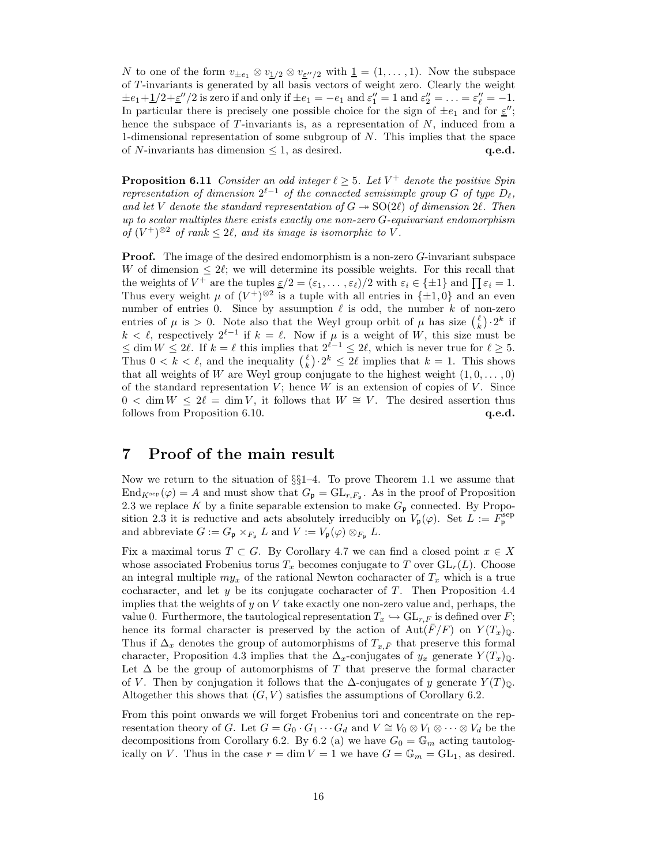N to one of the form  $v_{\pm e_1} \otimes v_{\frac{1}{2}} \otimes v_{\frac{e''}{2}}$  with  $\underline{1} = (1, \ldots, 1)$ . Now the subspace of T -invariants is generated by all basis vectors of weight zero. Clearly the weight  $\pm e_1 + \frac{1}{2} + \frac{\varepsilon''}{2}$  is zero if and only if  $\pm e_1 = -e_1$  and  $\varepsilon''_1 = 1$  and  $\varepsilon''_2 = \ldots = \varepsilon''_l = -1$ . In particular there is precisely one possible choice for the sign of  $\pm e_1$  and for  $\underline{\varepsilon}''$ ; hence the subspace of  $T$ -invariants is, as a representation of  $N$ , induced from a 1-dimensional representation of some subgroup of N. This implies that the space of N-invariants has dimension  $\leq 1$ , as desired. **q.e.d.** q.e.d.

**Proposition 6.11** Consider an odd integer  $\ell \geq 5$ . Let  $V^+$  denote the positive Spin representation of dimension  $2^{\ell-1}$  of the connected semisimple group G of type  $D_{\ell}$ , and let V denote the standard representation of  $G \rightarrow SO(2\ell)$  of dimension 2 $\ell$ . Then up to scalar multiples there exists exactly one non-zero G-equivariant endomorphism of  $(V^+)^{\otimes 2}$  of rank  $\leq 2\ell$ , and its image is isomorphic to V.

Proof. The image of the desired endomorphism is a non-zero G-invariant subspace W of dimension  $\leq 2\ell$ ; we will determine its possible weights. For this recall that the weights of  $V^+$  are the tuples  $\underline{\varepsilon}/2 = (\varepsilon_1, \ldots, \varepsilon_\ell)/2$  with  $\varepsilon_i \in {\pm 1}$  and  $\prod \varepsilon_i = 1$ . Thus every weight  $\mu$  of  $(V^+)^{\otimes 2}$  is a tuple with all entries in  $\{\pm 1, 0\}$  and an even number of entries 0. Since by assumption  $\ell$  is odd, the number k of non-zero entries of  $\mu$  is > 0. Note also that the Weyl group orbit of  $\mu$  has size  $\binom{\ell}{k} \cdot 2^k$  if there is or  $\mu$  is  $>$  0. Note also that the Weyl group of  $\mu$  in this size  $\binom{k}{k}$ . In  $k < \ell$ , respectively  $2^{\ell-1}$  if  $k = \ell$ . Now if  $\mu$  is a weight of W, this size must be  $\leq$  dim  $W \leq 2\ell$ . If  $k = \ell$  this implies that  $2^{\ell-1} \leq 2\ell$ , which is never true for  $\ell \geq 5$ . Thus  $0 < k < \ell$ , and the inequality  $\binom{\ell}{k} \cdot 2^k \leq 2\ell$  implies that  $k = 1$ . This shows that all weights of W are Weyl group conjugate to the highest weight  $(1, 0, \ldots, 0)$ of the standard representation  $V$ ; hence  $W$  is an extension of copies of  $V$ . Since  $0 < \dim W \leq 2\ell = \dim V$ , it follows that  $W \cong V$ . The desired assertion thus follows from Proposition 6.10.  $q.e.d.$ 

# 7 Proof of the main result

Now we return to the situation of §§1–4. To prove Theorem 1.1 we assume that  $\text{End}_{K^{\text{sep}}}(\varphi) = A$  and must show that  $G_{\mathfrak{p}} = \text{GL}_{r,F_{\mathfrak{p}}}$ . As in the proof of Proposition 2.3 we replace K by a finite separable extension to make  $G_{\mathfrak{p}}$  connected. By Proposition 2.3 it is reductive and acts absolutely irreducibly on  $V_{\mathfrak{p}}(\varphi)$ . Set  $L := F_{\mathfrak{p}}^{\text{sep}}$ and abbreviate  $G := G_{\mathfrak{p}} \times_{F_{\mathfrak{p}}} L$  and  $V := V_{\mathfrak{p}}(\varphi) \otimes_{F_{\mathfrak{p}}} L$ .

Fix a maximal torus  $T \subset G$ . By Corollary 4.7 we can find a closed point  $x \in X$ whose associated Frobenius torus  $T_x$  becomes conjugate to T over  $GL_r(L)$ . Choose an integral multiple  $my_x$  of the rational Newton cocharacter of  $T_x$  which is a true cocharacter, and let  $y$  be its conjugate cocharacter of T. Then Proposition 4.4 implies that the weights of  $y$  on  $V$  take exactly one non-zero value and, perhaps, the value 0. Furthermore, the tautological representation  $T_x \hookrightarrow GL_{r,F}$  is defined over F; hence its formal character is preserved by the action of  $Aut(\overline{F}/F)$  on  $Y(T_x)_{\mathbb{Q}}$ . Thus if  $\Delta_x$  denotes the group of automorphisms of  $T_{x,\bar{F}}$  that preserve this formal character, Proposition 4.3 implies that the  $\Delta_x$ -conjugates of  $y_x$  generate  $Y(T_x)_{\mathbb{Q}}$ . Let  $\Delta$  be the group of automorphisms of T that preserve the formal character of V. Then by conjugation it follows that the  $\Delta$ -conjugates of y generate  $Y(T)_{\mathbb{Q}}$ . Altogether this shows that  $(G, V)$  satisfies the assumptions of Corollary 6.2.

From this point onwards we will forget Frobenius tori and concentrate on the representation theory of G. Let  $G = G_0 \cdot G_1 \cdots G_d$  and  $V \cong V_0 \otimes V_1 \otimes \cdots \otimes V_d$  be the decompositions from Corollary 6.2. By 6.2 (a) we have  $G_0 = \mathbb{G}_m$  acting tautologically on V. Thus in the case  $r = \dim V = 1$  we have  $G = \mathbb{G}_m = GL_1$ , as desired.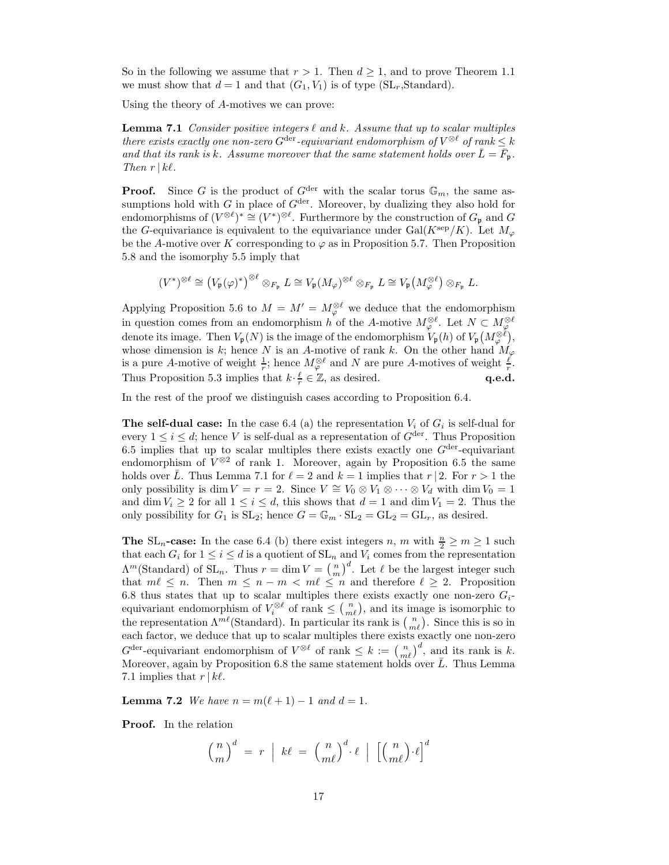So in the following we assume that  $r > 1$ . Then  $d \geq 1$ , and to prove Theorem 1.1 we must show that  $d = 1$  and that  $(G_1, V_1)$  is of type  $(SL_r, Standard)$ .

Using the theory of A-motives we can prove:

**Lemma 7.1** Consider positive integers  $\ell$  and  $k$ . Assume that up to scalar multiples there exists exactly one non-zero  $G^{\text{der}}$ -equivariant endomorphism of  $V^{\otimes \ell}$  of rank  $\leq k$ and that its rank is k. Assume moreover that the same statement holds over  $\bar{L} = \bar{F}_{\mathfrak{p}}$ . Then  $r \mid k\ell$ .

**Proof.** Since G is the product of  $G^{\text{der}}$  with the scalar torus  $\mathbb{G}_m$ , the same assumptions hold with G in place of  $G<sup>der</sup>$ . Moreover, by dualizing they also hold for endomorphisms of  $(V^{\otimes \ell})^* \cong (V^*)^{\otimes \ell}$ . Furthermore by the construction of  $G_p$  and  $G$ the G-equivariance is equivalent to the equivariance under Gal( $K^{\text{sep}}/K$ ). Let  $M_{\varphi}$ be the A-motive over K corresponding to  $\varphi$  as in Proposition 5.7. Then Proposition 5.8 and the isomorphy 5.5 imply that

$$
(V^*)^{\otimes \ell} \cong (V_{\mathfrak{p}}(\varphi)^*)^{\otimes \ell} \otimes_{F_{\mathfrak{p}}} L \cong V_{\mathfrak{p}}(M_{\varphi})^{\otimes \ell} \otimes_{F_{\mathfrak{p}}} L \cong V_{\mathfrak{p}}\big(M_{\varphi}^{\otimes \ell}\big) \otimes_{F_{\mathfrak{p}}} L.
$$

Applying Proposition 5.6 to  $M = M' = M_{\varphi}^{\otimes \ell}$  we deduce that the endomorphism in question comes from an endomorphism h of the A-motive  $M_{\varphi}^{\otimes \ell}$ . Let  $N \subset M_{\varphi}^{\otimes \ell}$ denote its image. Then  $V_{\mathfrak{p}}(N)$  is the image of the endomorphism  $V_{\mathfrak{p}}(h)$  of  $V_{\mathfrak{p}}(M_{\varphi}^{\otimes \ell}),$ whose dimension is k; hence N is an A-motive of rank k. On the other hand  $M_{\varphi}$ is a pure A-motive of weight  $\frac{1}{r}$ ; hence  $M_{\varphi}^{\otimes \ell}$  and N are pure A-motives of weight  $\frac{\ell}{r}$ . Thus Proposition 5.3 implies that  $k \cdot \frac{\ell}{r} \in \mathbb{Z}$ , as desired. **q.e.d. q.e.d.** 

In the rest of the proof we distinguish cases according to Proposition 6.4.

**The self-dual case:** In the case 6.4 (a) the representation  $V_i$  of  $G_i$  is self-dual for every  $1 \leq i \leq d$ ; hence V is self-dual as a representation of  $G^{\text{der}}$ . Thus Proposition 6.5 implies that up to scalar multiples there exists exactly one  $G<sup>der</sup>$ -equivariant endomorphism of  $V^{\otimes 2}$  of rank 1. Moreover, again by Proposition 6.5 the same holds over  $\bar{L}$ . Thus Lemma 7.1 for  $\ell = 2$  and  $k = 1$  implies that r | 2. For  $r > 1$  the only possibility is dim  $V = r = 2$ . Since  $V \cong V_0 \otimes V_1 \otimes \cdots \otimes V_d$  with dim  $V_0 = 1$ and dim  $V_i \geq 2$  for all  $1 \leq i \leq d$ , this shows that  $d = 1$  and dim  $V_1 = 2$ . Thus the only possibility for  $G_1$  is  $SL_2$ ; hence  $G = \mathbb{G}_m \cdot SL_2 = GL_2 = GL_r$ , as desired.

**The**  $SL_n$ -case: In the case 6.4 (b) there exist integers n, m with  $\frac{n}{2} \ge m \ge 1$  such that each  $G_i$  for  $1 \leq i \leq d$  is a quotient of  $SL_n$  and  $V_i$  comes from the representation  $\Lambda^m$ (Standard) of SL<sub>n</sub>. Thus  $r = \dim V = \binom{n}{m}^d$ . Let  $\ell$  be the largest integer such that  $m \ell \leq n$ . Then  $m \leq n - m < m \ell \leq n$  and therefore  $\ell \geq 2$ . Proposition 6.8 thus states that up to scalar multiples there exists exactly one non-zero  $G_i$ equivariant endomorphism of  $V_i^{\otimes \ell}$  of rank  $\leq \binom{n}{m\ell}$ , and its image is isomorphic to the representation  $\Lambda^{m\ell}$ (Standard). In particular its rank is  $\binom{n}{m\ell}$ . Since this is so in each factor, we deduce that up to scalar multiples there exists exactly one non-zero  $G^{\text{der}}$ -equivariant endomorphism of  $V^{\otimes \ell}$  of rank  $\leq k := {n \choose m\ell}^d$ , and its rank is k. Moreover, again by Proposition 6.8 the same statement holds over  $\bar{L}$ . Thus Lemma 7.1 implies that  $r \, | \, k\ell$ .

**Lemma 7.2** We have  $n = m(\ell + 1) - 1$  and  $d = 1$ .

Proof. In the relation

$$
\binom{n}{m}^d = r \mid k\ell = \binom{n}{m\ell}^d \cdot \ell \mid \left[ \binom{n}{m\ell} \cdot \ell \right]^d
$$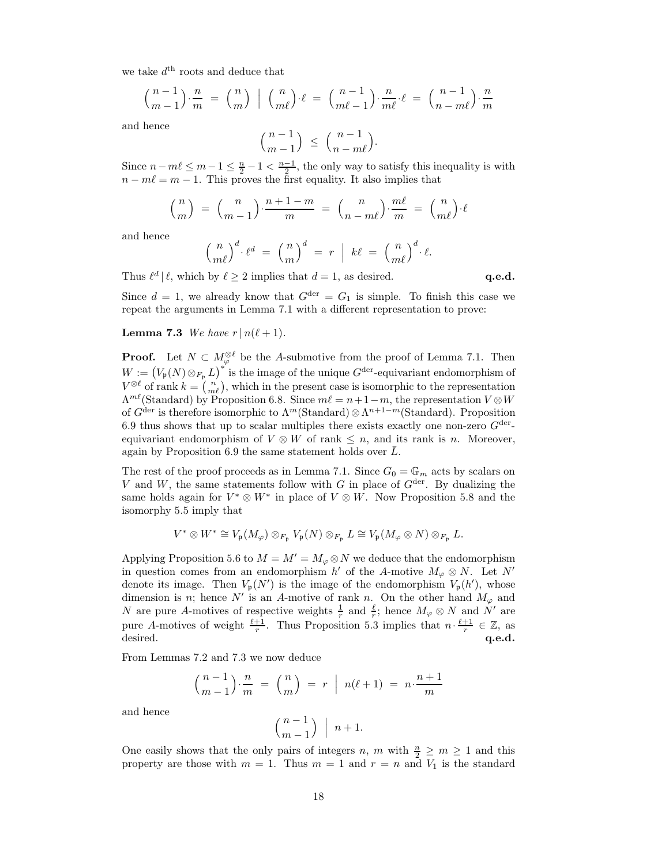we take  $d^{\text{th}}$  roots and deduce that

$$
\binom{n-1}{m-1} \cdot \frac{n}{m} = \binom{n}{m} \mid \binom{n}{m\ell} \cdot \ell = \binom{n-1}{m\ell-1} \cdot \frac{n}{m\ell} \cdot \ell = \binom{n-1}{n-m\ell} \cdot \frac{n}{m}
$$

and hence

$$
\binom{n-1}{m-1} \le \binom{n-1}{n-m\ell}.
$$

Since  $n - m\ell \leq m - 1 \leq \frac{n}{2} - 1 < \frac{n-1}{2}$ , the only way to satisfy this inequality is with  $n - m\ell = m - 1$ . This proves the first equality. It also implies that

$$
\binom{n}{m} = \binom{n}{m-1} \cdot \frac{n+1-m}{m} = \binom{n}{n-m\ell} \cdot \frac{m\ell}{m} = \binom{n}{m\ell} \cdot \ell
$$

and hence

$$
\left(\frac{n}{m\ell}\right)^d \cdot \ell^d = \left(\frac{n}{m}\right)^d = r \mid k\ell = \left(\frac{n}{m\ell}\right)^d \cdot \ell.
$$

Thus  $\ell^d | \ell$ , which by  $\ell \geq 2$  implies that  $d = 1$ , as desired. q.e.d.

Since  $d = 1$ , we already know that  $G^{\text{der}} = G_1$  is simple. To finish this case we repeat the arguments in Lemma 7.1 with a different representation to prove:

### **Lemma 7.3** We have  $r | n(\ell + 1)$ .

**Proof.** Let  $N \subset M_\varphi^{\otimes \ell}$  be the A-submotive from the proof of Lemma 7.1. Then  $W := (V_{\mathfrak{p}}(N) \otimes_{F_{\mathfrak{p}}} L)^{*}$  is the image of the unique  $G^{\text{der}}$ -equivariant endomorphism of  $V^{\otimes \ell}$  of rank  $k = \binom{n}{m\ell}$ , which in the present case is isomorphic to the representation  $\Lambda^{m\ell}$ (Standard) by Proposition 6.8. Since  $m\ell = n+1-m$ , the representation  $V \otimes W$ of  $G^{\text{der}}$  is therefore isomorphic to  $\Lambda^m(\text{Standard})\otimes \Lambda^{n+1-m}(\text{Standard})$ . Proposition 6.9 thus shows that up to scalar multiples there exists exactly one non-zero  $G^{\text{der}}$ equivariant endomorphism of  $V \otimes W$  of rank  $\leq n$ , and its rank is n. Moreover, again by Proposition  $6.9$  the same statement holds over  $L$ .

The rest of the proof proceeds as in Lemma 7.1. Since  $G_0 = \mathbb{G}_m$  acts by scalars on V and W, the same statements follow with G in place of  $G<sup>der</sup>$ . By dualizing the same holds again for  $V^* \otimes W^*$  in place of  $V \otimes W$ . Now Proposition 5.8 and the isomorphy 5.5 imply that

$$
V^* \otimes W^* \cong V_{\mathfrak{p}}(M_{\varphi}) \otimes_{F_{\mathfrak{p}}} V_{\mathfrak{p}}(N) \otimes_{F_{\mathfrak{p}}} L \cong V_{\mathfrak{p}}(M_{\varphi} \otimes N) \otimes_{F_{\mathfrak{p}}} L.
$$

Applying Proposition 5.6 to  $M = M' = M_{\varphi} \otimes N$  we deduce that the endomorphism in question comes from an endomorphism  $h'$  of the A-motive  $M_{\varphi} \otimes N$ . Let N' denote its image. Then  $V_{\mathfrak{p}}(N')$  is the image of the endomorphism  $V_{\mathfrak{p}}(h')$ , whose dimension is n; hence N' is an A-motive of rank n. On the other hand  $M_{\varphi}$  and N are pure A-motives of respective weights  $\frac{1}{r}$  and  $\frac{\ell}{r}$ ; hence  $M_{\varphi} \otimes N$  and N' are pure A-motives of weight  $\frac{\ell+1}{r}$ . Thus Proposition 5.3 implies that  $n \cdot \frac{\ell+1}{r} \in \mathbb{Z}$ , as desired.  $q.e.d.$ 

From Lemmas 7.2 and 7.3 we now deduce

$$
\binom{n-1}{m-1} \cdot \frac{n}{m} = \binom{n}{m} = r \mid n(\ell+1) = n \cdot \frac{n+1}{m}
$$

and hence

$$
\left( \frac{n-1}{m-1}\right) \ \Big\vert \ \ n+1.
$$

One easily shows that the only pairs of integers n, m with  $\frac{n}{2} \ge m \ge 1$  and this property are those with  $m = 1$ . Thus  $m = 1$  and  $r = n$  and  $V_1$  is the standard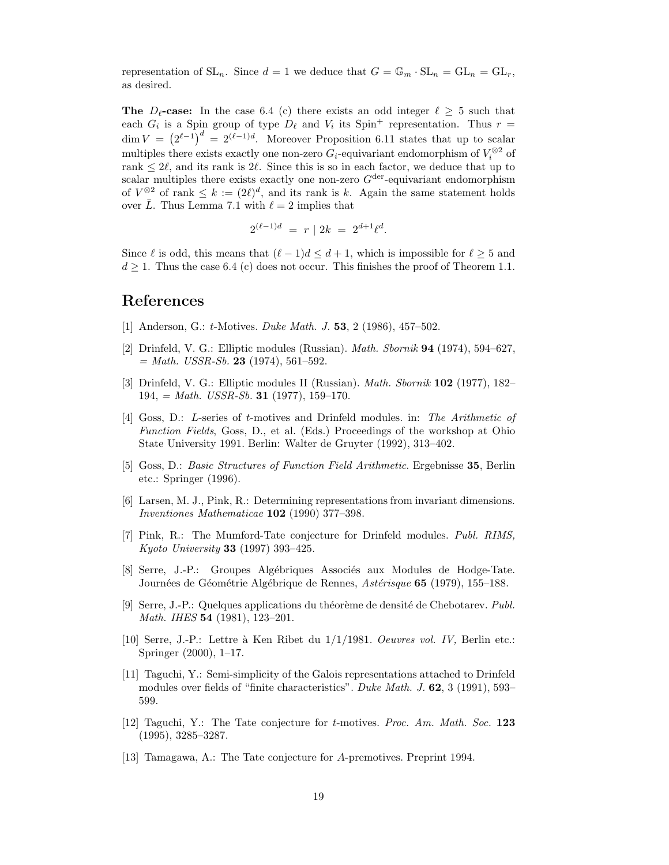representation of  $SL_n$ . Since  $d = 1$  we deduce that  $G = \mathbb{G}_m \cdot SL_n = GL_n = GL_r$ , as desired.

**The**  $D_{\ell}$ -case: In the case 6.4 (c) there exists an odd integer  $\ell \geq 5$  such that each  $G_i$  is a Spin group of type  $D_\ell$  and  $V_i$  its Spin<sup>+</sup> representation. Thus  $r =$  $\dim V = (2^{\ell-1})^d = 2^{(\ell-1)d}$ . Moreover Proposition 6.11 states that up to scalar multiples there exists exactly one non-zero  $G_i$ -equivariant endomorphism of  $V_i^{\otimes 2}$  of rank  $\leq 2\ell$ , and its rank is 2 $\ell$ . Since this is so in each factor, we deduce that up to scalar multiples there exists exactly one non-zero  $G<sup>der</sup>$ -equivariant endomorphism of  $V^{\otimes 2}$  of rank  $\leq k := (2\ell)^d$ , and its rank is k. Again the same statement holds over  $\overline{L}$ . Thus Lemma 7.1 with  $\ell = 2$  implies that

$$
2^{(\ell-1)d} = r | 2k = 2^{d+1}\ell^d.
$$

Since  $\ell$  is odd, this means that  $(\ell - 1)d \leq d + 1$ , which is impossible for  $\ell \geq 5$  and  $d \geq 1$ . Thus the case 6.4 (c) does not occur. This finishes the proof of Theorem 1.1.

# References

- [1] Anderson, G.: *t*-Motives. *Duke Math. J.* **53**, 2 (1986), 457–502.
- [2] Drinfeld, V. G.: Elliptic modules (Russian). Math. Sbornik 94 (1974), 594–627,  $= Math. \text{ } USSR-Sb.$  **23** (1974), 561-592.
- [3] Drinfeld, V. G.: Elliptic modules II (Russian). Math. Sbornik 102 (1977), 182–  $194, = Math. \text{USSR-Sb. } 31 \ (1977), 159-170.$
- [4] Goss, D.: L-series of t-motives and Drinfeld modules. in: The Arithmetic of Function Fields, Goss, D., et al. (Eds.) Proceedings of the workshop at Ohio State University 1991. Berlin: Walter de Gruyter (1992), 313–402.
- [5] Goss, D.: Basic Structures of Function Field Arithmetic. Ergebnisse 35, Berlin etc.: Springer (1996).
- [6] Larsen, M. J., Pink, R.: Determining representations from invariant dimensions. Inventiones Mathematicae 102 (1990) 377–398.
- [7] Pink, R.: The Mumford-Tate conjecture for Drinfeld modules. Publ. RIMS, Kyoto University 33 (1997) 393–425.
- [8] Serre, J.-P.: Groupes Algébriques Associés aux Modules de Hodge-Tate. Journées de Géométrie Algébrique de Rennes, Astérisque 65 (1979), 155–188.
- [9] Serre, J.-P.: Quelques applications du théorème de densité de Chebotarev. Publ. Math. IHES **54** (1981), 123-201.
- [10] Serre, J.-P.: Lettre à Ken Ribet du  $1/1/1981$ . *Oeuvres vol. IV*, Berlin etc.: Springer (2000), 1–17.
- [11] Taguchi, Y.: Semi-simplicity of the Galois representations attached to Drinfeld modules over fields of "finite characteristics". Duke Math. J. 62, 3 (1991), 593– 599.
- [12] Taguchi, Y.: The Tate conjecture for t-motives. Proc. Am. Math. Soc. 123 (1995), 3285–3287.
- [13] Tamagawa, A.: The Tate conjecture for A-premotives. Preprint 1994.